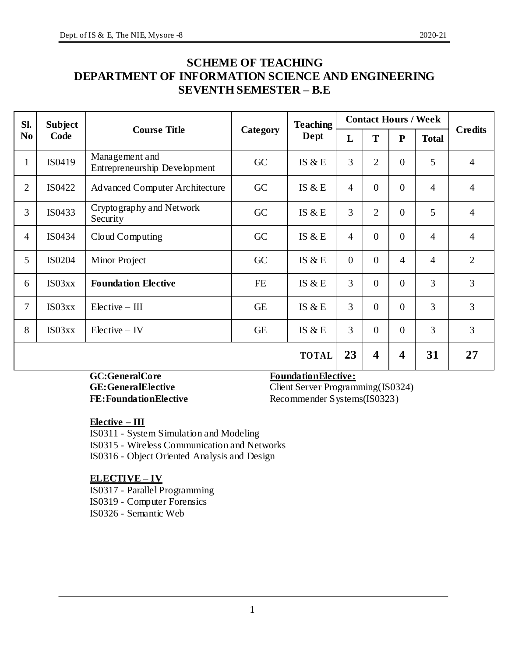# **SCHEME OF TEACHING DEPARTMENT OF INFORMATION SCIENCE AND ENGINEERING SEVENTH SEMESTER – B.E**

| Sl.            | Subject      | <b>Course Title</b>                            |           | <b>Teaching</b> | <b>Contact Hours / Week</b> |                         |                | <b>Credits</b><br>$\overline{4}$<br>$\overline{4}$<br>$\overline{4}$ |                |
|----------------|--------------|------------------------------------------------|-----------|-----------------|-----------------------------|-------------------------|----------------|----------------------------------------------------------------------|----------------|
| N <sub>0</sub> | Code         |                                                | Category  | Dept            | L                           | T                       | ${\bf P}$      | <b>Total</b>                                                         |                |
| $\mathbf{1}$   | IS0419       | Management and<br>Entrepreneurship Development | GC        | IS $&E$         | $\overline{3}$              | $\overline{2}$          | $\overline{0}$ | 5                                                                    |                |
| $\overline{2}$ | IS0422       | <b>Advanced Computer Architecture</b>          | GC        | IS $&E$         | $\overline{4}$              | $\overline{0}$          | $\overline{0}$ | $\overline{4}$                                                       |                |
| 3              | IS0433       | Cryptography and Network<br>Security           | GC        | IS $&E$         | 3                           | $\overline{2}$          | $\overline{0}$ | 5                                                                    |                |
| 4              | IS0434       | Cloud Computing                                | GC        | IS $&E$         | $\overline{4}$              | $\overline{0}$          | $\overline{0}$ | $\overline{4}$                                                       | $\overline{4}$ |
| 5              | IS0204       | Minor Project                                  | GC        | IS $&E$         | $\overline{0}$              | $\theta$                | $\overline{4}$ | $\overline{4}$                                                       | $\overline{2}$ |
| 6              | IS03xx       | <b>Foundation Elective</b>                     | $FE$      | IS $\&E$        | 3                           | $\overline{0}$          | $\overline{0}$ | $\overline{3}$                                                       | 3              |
| 7              | IS03xx       | $Electric - III$                               | <b>GE</b> | IS $&E$         | $\overline{3}$              | $\overline{0}$          | $\theta$       | $\overline{3}$                                                       | $\overline{3}$ |
| 8              | IS03xx       | $Electric - IV$                                | <b>GE</b> | IS $&E$         | $\overline{3}$              | $\theta$                | $\overline{0}$ | $\overline{3}$                                                       | 3              |
|                | <b>TOTAL</b> |                                                |           | 23              | $\overline{\mathbf{4}}$     | $\overline{\mathbf{4}}$ | 31             | 27                                                                   |                |

#### GC:GeneralCore **FoundationElective:**

GE: GeneralElective Client Server Programming(IS0324) **FE: Foundation Elective** Recommender Systems(IS0323)

**Elective – III**

IS0311 - System Simulation and Modeling IS0315 - Wireless Communication and Networks IS0316 - Object Oriented Analysis and Design

#### **ELECTIVE – IV**

IS0317 - Parallel Programming IS0319 - Computer Forensics IS0326 - Semantic Web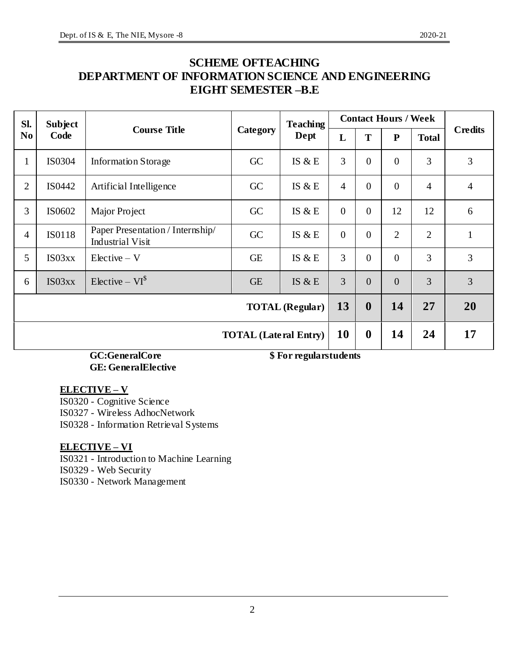# **SCHEME OFTEACHING DEPARTMENT OF INFORMATION SCIENCE AND ENGINEERING EIGHT SEMESTER –B.E**

| Sl.            | <b>Subject</b>                                                              |                                                             |           | <b>Teaching</b> |                  | <b>Contact Hours / Week</b> |                  |                |                |
|----------------|-----------------------------------------------------------------------------|-------------------------------------------------------------|-----------|-----------------|------------------|-----------------------------|------------------|----------------|----------------|
| N <sub>0</sub> | Code                                                                        | <b>Course Title</b>                                         | Category  | Dept            | L                | T                           | ${\bf P}$        | <b>Total</b>   | <b>Credits</b> |
| $\mathbf{1}$   | IS0304                                                                      | <b>Information Storage</b>                                  | GC        | IS $\&$ E       | 3                | $\overline{0}$              | $\overline{0}$   | 3              | 3              |
| $\mathbf{2}$   | IS0442                                                                      | Artificial Intelligence                                     | GC        | IS $&E$         | $\overline{4}$   | $\overline{0}$              | $\boldsymbol{0}$ | $\overline{4}$ | $\overline{4}$ |
| 3              | IS0602                                                                      | Major Project                                               | GC        | IS $&E$         | $\overline{0}$   | $\overline{0}$              | 12               | 12             | 6              |
| $\overline{4}$ | <b>IS0118</b>                                                               | Paper Presentation / Internship/<br><b>Industrial Visit</b> | GC        | IS $&E$         | $\overline{0}$   | $\overline{0}$              | $\overline{2}$   | $\overline{2}$ | $\mathbf{1}$   |
| 5              | IS03xx                                                                      | $Electric - V$                                              | <b>GE</b> | IS $&E$         | 3                | $\overline{0}$              | $\overline{0}$   | 3              | $\overline{3}$ |
| 6              | IS03xx                                                                      | Elective – $VI^{\$}$                                        | <b>GE</b> | IS $\&$ E       | 3                | $\Omega$                    | $\theta$         | 3              | 3              |
|                | <b>TOTAL</b> (Regular)                                                      |                                                             |           | 13              | $\boldsymbol{0}$ | 14                          | 27               | 20             |                |
|                | <b>TOTAL</b> (Lateral Entry)                                                |                                                             |           |                 | <b>10</b>        | $\boldsymbol{0}$            | 14               | 24             | 17             |
|                | $C C C$ and $C$ and<br>$\phi$ $\mathbf{E}_{\alpha}$ is no cool and indicate |                                                             |           |                 |                  |                             |                  |                |                |

**GC:GeneralCore \$ For regularstudents GE: GeneralElective**

### **ELECTIVE – V**

IS0320 - Cognitive Science

IS0327 - Wireless AdhocNetwork

IS0328 - Information Retrieval Systems

### **ELECTIVE – VI**

IS0321 - Introduction to Machine Learning

IS0329 - Web Security

IS0330 - Network Management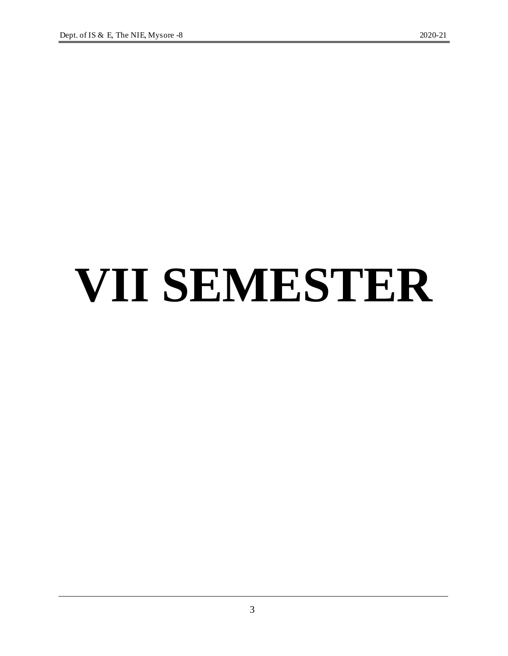# **VII SEMESTER**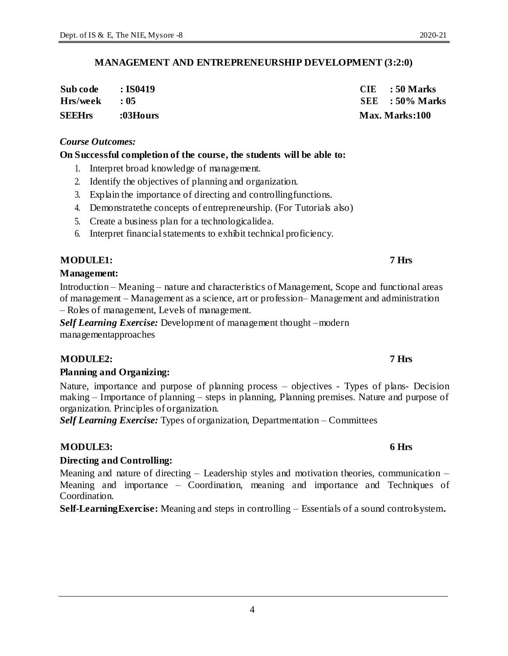### **MANAGEMENT AND ENTREPRENEURSHIP DEVELOPMENT (3:2:0)**

| Sub code      | : IS0419    | $CIE$ : 50 Marks  |
|---------------|-------------|-------------------|
| Hrs/week      | $\cdot$ 0.5 | $SEE$ : 50% Marks |
| <b>SEEHrs</b> | :03Hours    | Max. Marks:100    |

#### *Course Outcomes:*

#### **On Successful completion of the course, the students will be able to:**

- 1. Interpret broad knowledge of management.
- 2. Identify the objectives of planning and organization.
- 3. Explain the importance of directing and controllingfunctions.
- 4. Demonstratethe concepts of entrepreneurship. (For Tutorials also)
- 5. Create a business plan for a technologicalidea.
- 6. Interpret financial statements to exhibit technical proficiency.

### **MODULE1: 7 Hrs**

#### **Management:**

Introduction – Meaning – nature and characteristics of Management, Scope and functional areas of management – Management as a science, art or profession– Management and administration – Roles of management, Levels of management.

*Self Learning Exercise:* Development of management thought –modern managementapproaches

### **MODULE2: 7 Hrs**

### **Planning and Organizing:**

Nature, importance and purpose of planning process – objectives - Types of plans- Decision making – Importance of planning – steps in planning, Planning premises. Nature and purpose of organization. Principles of organization.

*Self Learning Exercise:* Types of organization, Departmentation – Committees

### **MODULE3: 6 Hrs**

### **Directing and Controlling:**

Meaning and nature of directing – Leadership styles and motivation theories, communication – Meaning and importance – Coordination, meaning and importance and Techniques of Coordination.

**Self-LearningExercise:** Meaning and steps in controlling – Essentials of a sound controlsystem**.**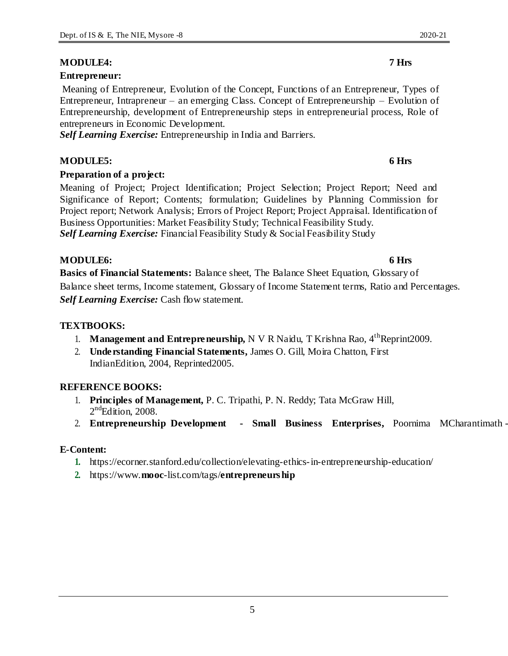#### **MODULE4: 7 Hrs**

#### **Entrepreneur:**

Meaning of Entrepreneur, Evolution of the Concept, Functions of an Entrepreneur, Types of Entrepreneur, Intrapreneur – an emerging Class. Concept of Entrepreneurship – Evolution of Entrepreneurship, development of Entrepreneurship steps in entrepreneurial process, Role of entrepreneurs in Economic Development.

*Self Learning Exercise:* Entrepreneurship in India and Barriers.

#### **MODULE5: 6 Hrs**

#### **Preparation of a project:**

Meaning of Project; Project Identification; Project Selection; Project Report; Need and Significance of Report; Contents; formulation; Guidelines by Planning Commission for Project report; Network Analysis; Errors of Project Report; Project Appraisal. Identification of Business Opportunities: Market Feasibility Study; Technical Feasibility Study. *Self Learning Exercise:* Financial Feasibility Study & Social Feasibility Study

#### **MODULE6: 6 Hrs**

**Basics of Financial Statements:** Balance sheet, The Balance Sheet Equation, Glossary of

Balance sheet terms, Income statement, Glossary of Income Statement terms, Ratio and Percentages. *Self Learning Exercise:* Cash flow statement.

#### **TEXTBOOKS:**

- 1. **Management and Entrepreneurship,** N V R Naidu, T Krishna Rao,  $4<sup>th</sup>$ Reprint2009.
- 2. **Understanding Financial Statements,** James O. Gill, Moira Chatton, First IndianEdition, 2004, Reprinted2005.

#### **REFERENCE BOOKS:**

- 1. **Principles of Management,** P. C. Tripathi, P. N. Reddy; Tata McGraw Hill, 2<sup>nd</sup>Edition, 2008.
- 2. **Entrepreneurship Development - Small Business Enterprises,** Poornima MCharantimath -

#### **E-Content:**

- **1.** https://ecorner.stanford.edu/collection/elevating-ethics-in-entrepreneurship-education/
- **2.** https://www.**mooc**-list.com/tags/**entrepreneurship**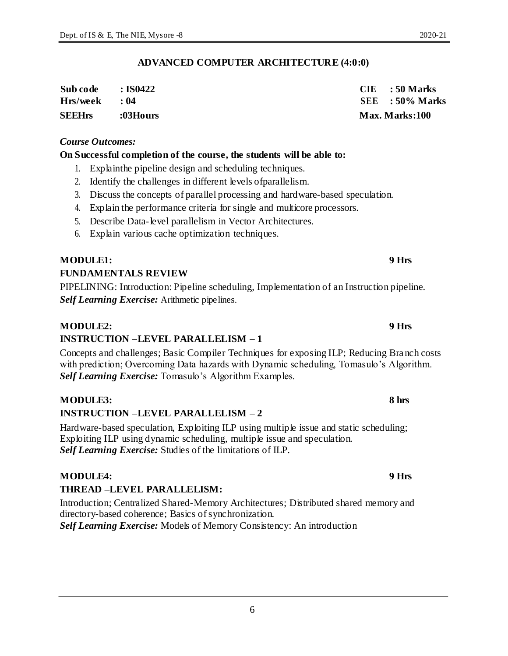#### **ADVANCED COMPUTER ARCHITECTURE (4:0:0)**

| <b>SEEHrs</b> | :03Hours   | <b>Max. Marks:100</b> |
|---------------|------------|-----------------------|
| Hrs/week      | $\cdot$ 04 | $SEE$ : 50% Marks     |
| Sub code      | : IS0422   | $CIE$ : 50 Marks      |

#### *Course Outcomes:*

#### **On Successful completion of the course, the students will be able to:**

- 1. Explainthe pipeline design and scheduling techniques.
- 2. Identify the challenges in different levels ofparallelism.
- 3. Discuss the concepts of parallel processing and hardware-based speculation.
- 4. Explain the performance criteria for single and multicore processors.
- 5. Describe Data-level parallelism in Vector Architectures.
- 6. Explain various cache optimization techniques.

#### **MODULE1: 9 Hrs**

#### **FUNDAMENTALS REVIEW**

PIPELINING: Introduction: Pipeline scheduling, Implementation of an Instruction pipeline. *Self Learning Exercise:* Arithmetic pipelines.

#### **MODULE2: 9 Hrs**

### **INSTRUCTION –LEVEL PARALLELISM – 1**

Concepts and challenges; Basic Compiler Techniques for exposing ILP; Reducing Bra nch costs with prediction; Overcoming Data hazards with Dynamic scheduling, Tomasulo's Algorithm. *Self Learning Exercise:* Tomasulo's Algorithm Examples.

#### **MODULE3: 8 hrs**

#### **INSTRUCTION –LEVEL PARALLELISM – 2**

Hardware-based speculation, Exploiting ILP using multiple issue and static scheduling; Exploiting ILP using dynamic scheduling, multiple issue and speculation. *Self Learning Exercise:* Studies of the limitations of ILP.

### **MODULE4: 9 Hrs**

# **THREAD –LEVEL PARALLELISM:**

Introduction; Centralized Shared-Memory Architectures; Distributed shared memory and directory-based coherence; Basics of synchronization.

*Self Learning Exercise:* Models of Memory Consistency: An introduction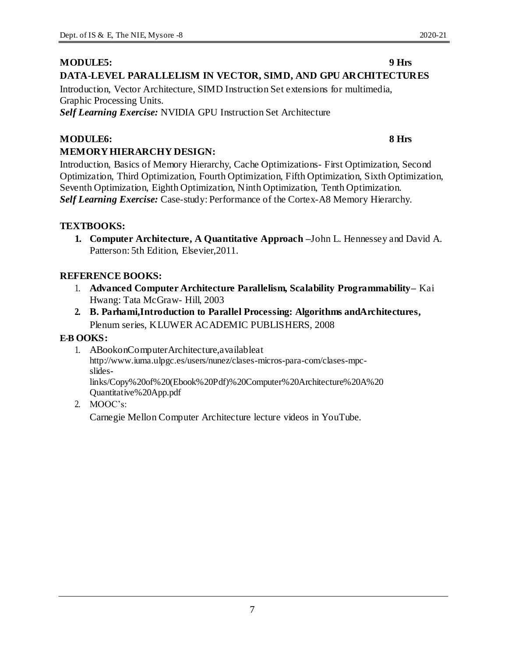### **MODULE5: 9 Hrs DATA-LEVEL PARALLELISM IN VECTOR, SIMD, AND GPU ARCHITECTURES**

Introduction, Vector Architecture, SIMD Instruction Set extensions for multimedia, Graphic Processing Units.

*Self Learning Exercise:* NVIDIA GPU Instruction Set Architecture

# **MODULE6: 8 Hrs MEMORY HIERARCHY DESIGN:**

Introduction, Basics of Memory Hierarchy, Cache Optimizations- First Optimization, Second Optimization, Third Optimization, Fourth Optimization, Fifth Optimization, Sixth Optimization, Seventh Optimization, Eighth Optimization, Ninth Optimization, Tenth Optimization. *Self Learning Exercise:* Case-study: Performance of the Cortex-A8 Memory Hierarchy.

### **TEXTBOOKS:**

**1. Computer Architecture, A Quantitative Approach –**John L. Hennessey and David A. Patterson: 5th Edition, Elsevier,2011.

### **REFERENCE BOOKS:**

- 1. **Advanced Computer Architecture Parallelism, Scalability Programmability–** Kai Hwang: Tata McGraw- Hill, 2003
- **2. B. Parhami,Introduction to Parallel Processing: Algorithms andArchitectures,** Plenum series, KLUWER ACADEMIC PUBLISHERS, 2008

### **E-B OOKS:**

1. ABookonComputerArchitecture,availableat http://www.iuma.ulpgc.es/users/nunez/clases-micros-para-com/clases-mpcslideslinks/Copy%20of%20(Ebook%20Pdf)%20Computer%20Architecture%20A%20

Quantitative%20App.pdf

2. MOOC's:

Carnegie Mellon Computer Architecture lecture videos in YouTube.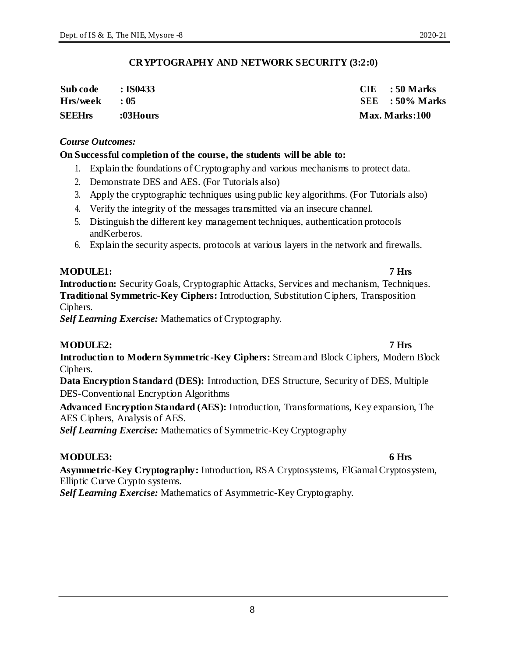8

### **CRYPTOGRAPHY AND NETWORK SECURITY (3:2:0)**

| Sub code      | $\,$ : IS0433 $\,$ | $CIE$ : 50 Marks  |
|---------------|--------------------|-------------------|
| Hrs/week      | $\cdot$ 0.5        | $SEE$ : 50% Marks |
| <b>SEEHrs</b> | :03Hours           | Max. Marks:100    |

#### *Course Outcomes:*

#### **On Successful completion of the course, the students will be able to:**

- 1. Explain the foundations of Cryptography and various mechanisms to protect data.
- 2. Demonstrate DES and AES. (For Tutorials also)
- 3. Apply the cryptographic techniques using public key algorithms. (For Tutorials also)
- 4. Verify the integrity of the messages transmitted via an insecure channel.
- 5. Distinguish the different key management techniques, authentication protocols andKerberos.
- 6. Explain the security aspects, protocols at various layers in the network and firewalls.

### **MODULE1: 7 Hrs**

**Introduction:** Security Goals, Cryptographic Attacks, Services and mechanism, Techniques. **Traditional Symmetric-Key Ciphers:** Introduction, Substitution Ciphers, Transposition Ciphers.

*Self Learning Exercise:* Mathematics of Cryptography.

#### **MODULE2: 7 Hrs**

**Introduction to Modern Symmetric-Key Ciphers:** Stream and Block Ciphers, Modern Block Ciphers.

**Data Encryption Standard (DES):** Introduction, DES Structure, Security of DES, Multiple DES-Conventional Encryption Algorithms

**Advanced Encryption Standard (AES):** Introduction, Transformations, Key expansion, The AES Ciphers, Analysis of AES.

*Self Learning Exercise:* Mathematics of Symmetric-Key Cryptography

### **MODULE3: 6 Hrs**

**Asymmetric-Key Cryptography:** Introduction**,** RSA Cryptosystems, ElGamal Cryptosystem, Elliptic Curve Crypto systems.

*Self Learning Exercise:* Mathematics of Asymmetric-Key Cryptography.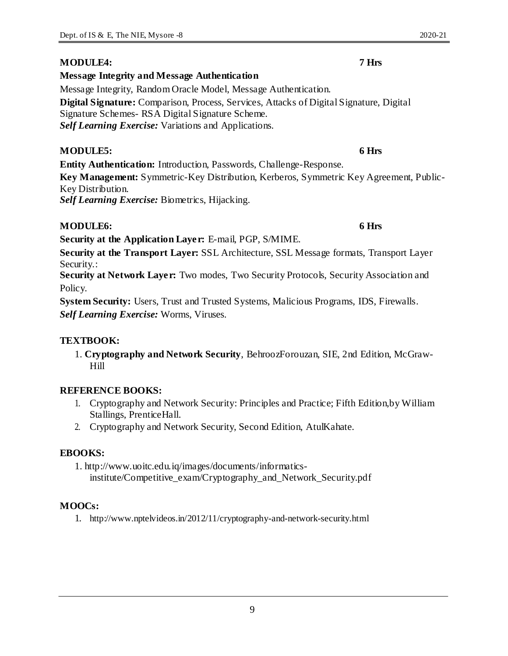### **MODULE4: 7 Hrs**

### **Message Integrity and Message Authentication**

Message Integrity, Random Oracle Model, Message Authentication. **Digital Signature:** Comparison, Process, Services, Attacks of Digital Signature, Digital Signature Schemes- RSA Digital Signature Scheme. *Self Learning Exercise:* Variations and Applications.

### **MODULE5: 6 Hrs**

**Entity Authentication:** Introduction, Passwords, Challenge-Response.

**Key Management:** Symmetric-Key Distribution, Kerberos, Symmetric Key Agreement, Public-Key Distribution. *Self Learning Exercise:* Biometrics, Hijacking.

### **MODULE6: 6 Hrs**

**Security at the Application Layer:** E-mail, PGP, S/MIME.

**Security at the Transport Layer:** SSL Architecture, SSL Message formats, Transport Layer Security.:

**Security at Network Layer:** Two modes, Two Security Protocols, Security Association and Policy.

**System Security:** Users, Trust and Trusted Systems, Malicious Programs, IDS, Firewalls. *Self Learning Exercise:* Worms, Viruses.

### **TEXTBOOK:**

1. **Cryptography and Network Security**, BehroozForouzan, SIE, 2nd Edition, McGraw-Hill

### **REFERENCE BOOKS:**

- 1. Cryptography and Network Security: Principles and Practice; Fifth Edition,by William Stallings, PrenticeHall.
- 2. Cryptography and Network Security, Second Edition, AtulKahate.

### **EBOOKS:**

1. http://www.uoitc.edu.iq/images/documents/informaticsinstitute/Competitive\_exam/Cryptography\_and\_Network\_Security.pdf

### **MOOCs:**

1. http://www.nptelvideos.in/2012/11/cryptography-and-network-security.html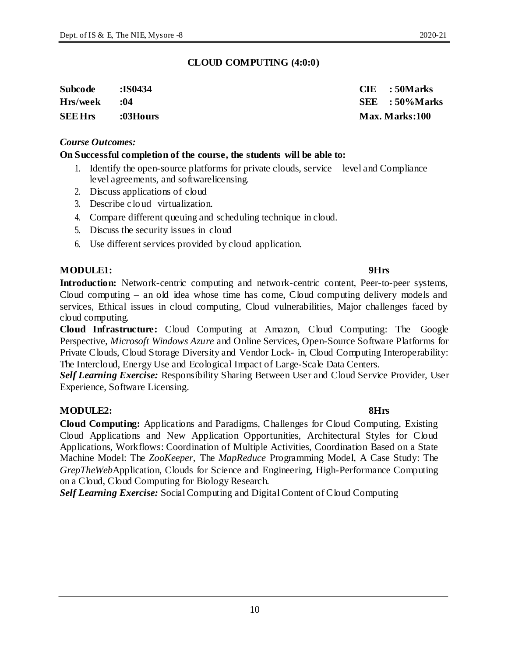10

### **CLOUD COMPUTING (4:0:0)**

| <b>Subcode</b> | :IS0434  | $CIE$ : 50 Marks  |
|----------------|----------|-------------------|
| Hrs/week       | :04      | $SEE$ : 50% Marks |
| <b>SEE Hrs</b> | :03Hours | Max. Marks:100    |

#### *Course Outcomes:*

#### **On Successful completion of the course, the students will be able to:**

- 1. Identify the open-source platforms for private clouds, service level and Compliance level agreements, and softwarelicensing.
- 2. Discuss applications of cloud
- 3. Describe cloud virtualization.
- 4. Compare different queuing and scheduling technique in cloud.
- 5. Discuss the security issues in cloud
- 6. Use different services provided by cloud application.

### **MODULE1: 9Hrs**

**Introduction:** Network-centric computing and network-centric content, Peer-to-peer systems, Cloud computing – an old idea whose time has come, Cloud computing delivery models and services, Ethical issues in cloud computing, Cloud vulnerabilities, Major challenges faced by cloud computing.

**Cloud Infrastructure:** Cloud Computing at Amazon, Cloud Computing: The Google Perspective, *Microsoft Windows Azure* and Online Services, Open-Source Software Platforms for Private Clouds, Cloud Storage Diversity and Vendor Lock- in, Cloud Computing Interoperability: The Intercloud, Energy Use and Ecological Impact of Large-Scale Data Centers.

*Self Learning Exercise:* Responsibility Sharing Between User and Cloud Service Provider, User Experience, Software Licensing.

### **MODULE2: 8Hrs**

**Cloud Computing:** Applications and Paradigms, Challenges for Cloud Computing, Existing Cloud Applications and New Application Opportunities, Architectural Styles for Cloud Applications, Workflows: Coordination of Multiple Activities, Coordination Based on a State Machine Model: The *ZooKeeper*, The *MapReduce* Programming Model, A Case Study: The *GrepTheWeb*Application, Clouds for Science and Engineering, High-Performance Computing on a Cloud, Cloud Computing for Biology Research.

*Self Learning Exercise:* Social Computing and Digital Content of Cloud Computing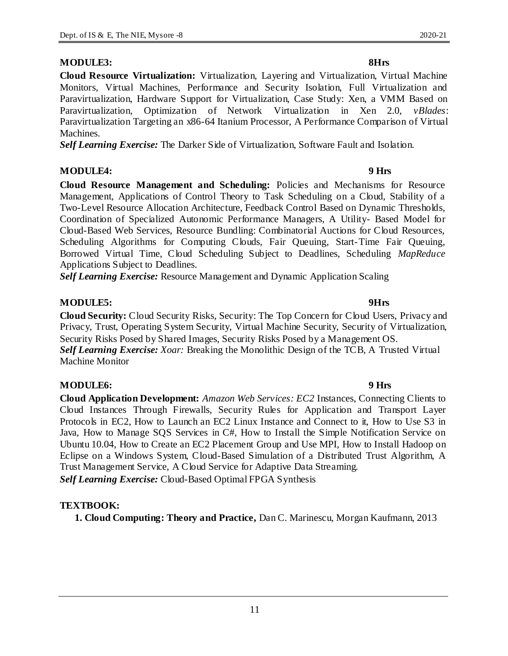**Cloud Resource Virtualization:** Virtualization, Layering and Virtualization, Virtual Machine Monitors, Virtual Machines, Performance and Security Isolation, Full Virtualization and Paravirtualization, Hardware Support for Virtualization, Case Study: Xen, a VMM Based on Paravirtualization, Optimization of Network Virtualization in Xen 2.0, *vBlades*: Paravirtualization Targeting an x86-64 Itanium Processor, A Performance Comparison of Virtual Machines.

*Self Learning Exercise:* The Darker Side of Virtualization, Software Fault and Isolation.

#### **MODULE4: 9 Hrs**

**Cloud Resource Management and Scheduling:** Policies and Mechanisms for Resource Management, Applications of Control Theory to Task Scheduling on a Cloud, Stability of a Two-Level Resource Allocation Architecture, Feedback Control Based on Dynamic Thresholds, Coordination of Specialized Autonomic Performance Managers, A Utility- Based Model for Cloud-Based Web Services, Resource Bundling: Combinatorial Auctions for Cloud Resources, Scheduling Algorithms for Computing Clouds, Fair Queuing, Start-Time Fair Queuing, Borrowed Virtual Time, Cloud Scheduling Subject to Deadlines, Scheduling *MapReduce*  Applications Subject to Deadlines.

*Self Learning Exercise:* Resource Management and Dynamic Application Scaling

### **MODULE5: 9Hrs**

**Cloud Security:** Cloud Security Risks, Security: The Top Concern for Cloud Users, Privacy and Privacy, Trust, Operating System Security, Virtual Machine Security, Security of Virtualization, Security Risks Posed by Shared Images, Security Risks Posed by a Management OS. *Self Learning Exercise: Xoar:* Breaking the Monolithic Design of the TCB, A Trusted Virtual Machine Monitor

### **MODULE6: 9 Hrs**

**Cloud Application Development:** *Amazon Web Services: EC2* Instances, Connecting Clients to Cloud Instances Through Firewalls, Security Rules for Application and Transport Layer Protocols in EC2, How to Launch an EC2 Linux Instance and Connect to it, How to Use S3 in Java, How to Manage SQS Services in C#, How to Install the Simple Notification Service on Ubuntu 10.04, How to Create an EC2 Placement Group and Use MPI, How to Install Hadoop on Eclipse on a Windows System, Cloud-Based Simulation of a Distributed Trust Algorithm, A Trust Management Service, A Cloud Service for Adaptive Data Streaming. *Self Learning Exercise:* Cloud-Based Optimal FPGA Synthesis

### **TEXTBOOK:**

**1. Cloud Computing: Theory and Practice,** Dan C. Marinescu, Morgan Kaufmann, 2013

### **MODULE3: 8Hrs**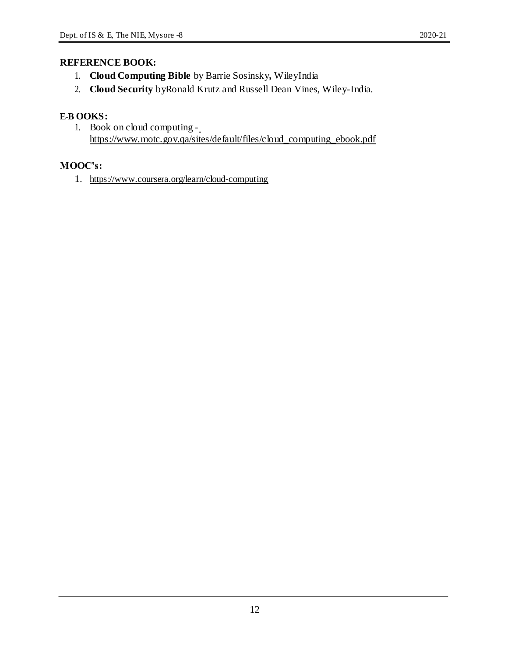- 1. **Cloud Computing Bible** by Barrie Sosinsky**,** WileyIndia
- 2. **Cloud Security** byRonald Krutz and Russell Dean Vines, Wiley-India.

### **E-B OOKS:**

1. Book on cloud computing https://www.motc.gov.qa/sites/default/files/cloud\_computing\_ebook.pdf

### **MOOC's:**

1. https://www.coursera.org/learn/cloud-computing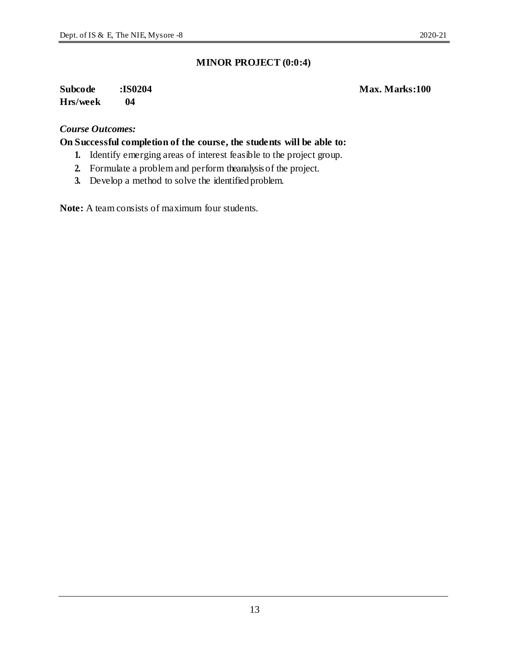### **Subcode :IS0204 Max. Marks:100 Hrs/week 04**

#### *Course Outcomes:*

**On Successful completion of the course, the students will be able to:**

- **1.** Identify emerging areas of interest feasible to the project group.
- **2.** Formulate a problem and perform theanalysis of the project.
- **3.** Develop a method to solve the identified problem.

**Note:** A team consists of maximum four students.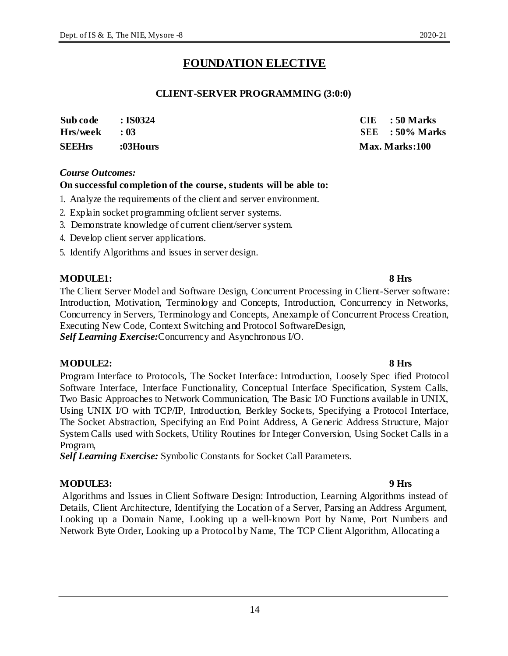# **FOUNDATION ELECTIVE**

### **CLIENT-SERVER PROGRAMMING (3:0:0)**

| <b>SEEHrs</b>   | :03Hours       | Max. Marks:100    |
|-----------------|----------------|-------------------|
| $Hrs/week$ : 03 |                | $SEE$ : 50% Marks |
| Sub code        | $\cdot$ IS0324 | $CIE$ : 50 Marks  |

#### *Course Outcomes:*

#### **On successful completion of the course, students will be able to:**

- 1. Analyze the requirements of the client and server environment.
- 2. Explain socket programming ofclient server systems.
- 3. Demonstrate knowledge of current client/server system.
- 4. Develop client server applications.
- 5. Identify Algorithms and issues in server design.

#### **MODULE1: 8 Hrs**

The Client Server Model and Software Design, Concurrent Processing in Client-Server software: Introduction, Motivation, Terminology and Concepts, Introduction, Concurrency in Networks, Concurrency in Servers, Terminology and Concepts, Anexample of Concurrent Process Creation, Executing New Code, Context Switching and Protocol SoftwareDesign, *Self Learning Exercise:*Concurrency and Asynchronous I/O.

#### **MODULE2: 8 Hrs**

Program Interface to Protocols, The Socket Interface: Introduction, Loosely Spec ified Protocol Software Interface, Interface Functionality, Conceptual Interface Specification, System Calls, Two Basic Approaches to Network Communication, The Basic I/O Functions available in UNIX, Using UNIX I/O with TCP/IP, Introduction, Berkley Sockets, Specifying a Protocol Interface, The Socket Abstraction, Specifying an End Point Address, A Generic Address Structure, Major System Calls used with Sockets, Utility Routines for Integer Conversion, Using Socket Calls in a Program,

*Self Learning Exercise:* Symbolic Constants for Socket Call Parameters.

### **MODULE3: 9 Hrs**

Algorithms and Issues in Client Software Design: Introduction, Learning Algorithms instead of Details, Client Architecture, Identifying the Location of a Server, Parsing an Address Argument, Looking up a Domain Name, Looking up a well-known Port by Name, Port Numbers and Network Byte Order, Looking up a Protocol by Name, The TCP Client Algorithm, Allocating a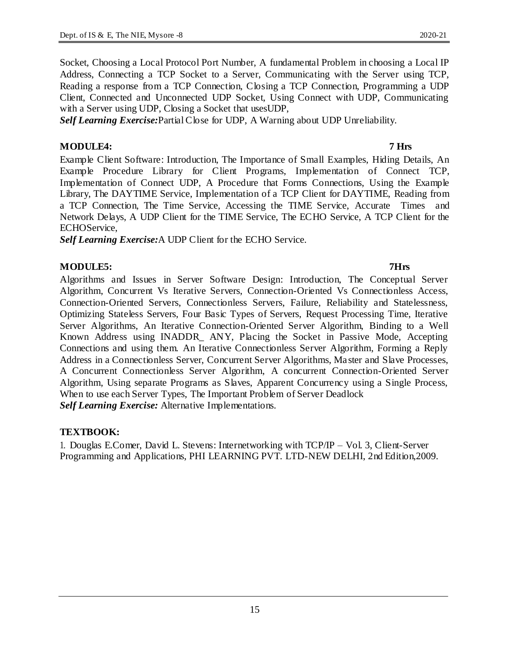Socket, Choosing a Local Protocol Port Number, A fundamental Problem in choosing a Local IP Address, Connecting a TCP Socket to a Server, Communicating with the Server using TCP, Reading a response from a TCP Connection, Closing a TCP Connection, Programming a UDP Client, Connected and Unconnected UDP Socket, Using Connect with UDP, Communicating with a Server using UDP, Closing a Socket that usesUDP,

*Self Learning Exercise:*Partial Close for UDP, A Warning about UDP Unreliability.

#### **MODULE4: 7 Hrs**

Example Client Software: Introduction, The Importance of Small Examples, Hiding Details, An Example Procedure Library for Client Programs, Implementation of Connect TCP, Implementation of Connect UDP, A Procedure that Forms Connections, Using the Example Library, The DAYTIME Service, Implementation of a TCP Client for DAYTIME, Reading from a TCP Connection, The Time Service, Accessing the TIME Service, Accurate Times and Network Delays, A UDP Client for the TIME Service, The ECHO Service, A TCP Client for the ECHOService,

*Self Learning Exercise:*A UDP Client for the ECHO Service.

### **MODULE5: 7Hrs**

Algorithms and Issues in Server Software Design: Introduction, The Conceptual Server Algorithm, Concurrent Vs Iterative Servers, Connection-Oriented Vs Connectionless Access, Connection-Oriented Servers, Connectionless Servers, Failure, Reliability and Statelessness, Optimizing Stateless Servers, Four Basic Types of Servers, Request Processing Time, Iterative Server Algorithms, An Iterative Connection-Oriented Server Algorithm, Binding to a Well Known Address using INADDR\_ ANY, Placing the Socket in Passive Mode, Accepting Connections and using them. An Iterative Connectionless Server Algorithm, Forming a Reply Address in a Connectionless Server, Concurrent Server Algorithms, Ma ster and Slave Processes, A Concurrent Connectionless Server Algorithm, A concurrent Connection-Oriented Server Algorithm, Using separate Programs as Slaves, Apparent Concurrency using a Single Process, When to use each Server Types, The Important Problem of Server Deadlock *Self Learning Exercise:* Alternative Implementations.

#### **TEXTBOOK:**

1. Douglas E.Comer, David L. Stevens: Internetworking with TCP/IP – Vol. 3, Client-Server Programming and Applications, PHI LEARNING PVT. LTD-NEW DELHI, 2nd Edition,2009.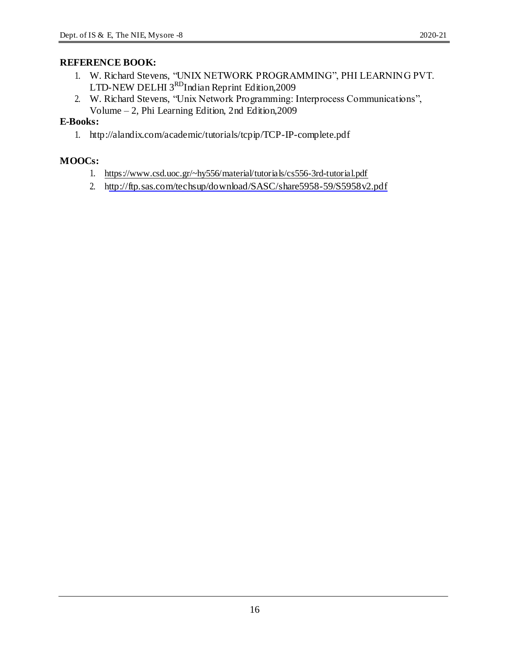2. W. Richard Stevens, "Unix Network Programming: Interprocess Communications", Volume – 2, Phi Learning Edition, 2nd Edition,2009

### **E-Books:**

1. http://alandix.com/academic/tutorials/tcpip/TCP-IP-complete.pdf

# **MOOCs:**

- 1. https://www.csd.uoc.gr/~hy556/material/tutorials/cs556-3rd-tutorial.pdf
- 2. http://ftp.sas.com/techsup/download/SASC/share5958-59/S5958v2.pdf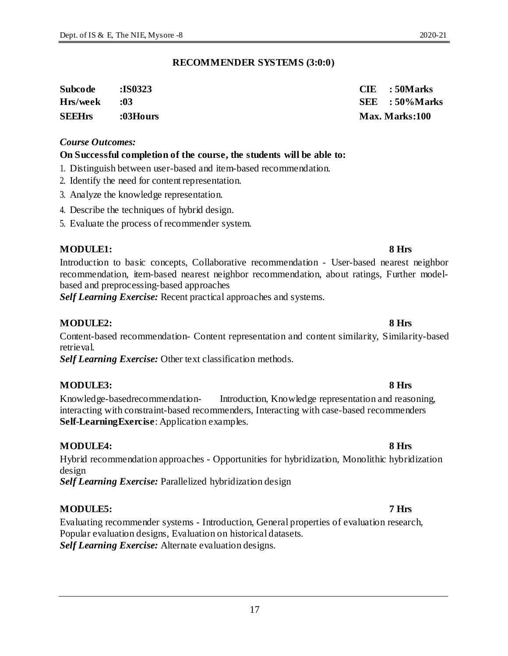#### **RECOMMENDER SYSTEMS (3:0:0)**

| Subcode       | <b>:IS0323</b> | $CIE$ : 50 Marks |
|---------------|----------------|------------------|
| Hrs/week      | -03            | SEE : 50%Marks   |
| <b>SEEHrs</b> | :03Hours       | Max. Marks:100   |

#### *Course Outcomes:*

#### **On Successful completion of the course, the students will be able to:**

- 1. Distinguish between user-based and item-based recommendation.
- 2. Identify the need for content representation.
- 3. Analyze the knowledge representation.
- 4. Describe the techniques of hybrid design.
- 5. Evaluate the process of recommender system.

#### **MODULE1: 8 Hrs**

Introduction to basic concepts, Collaborative recommendation - User-based nearest neighbor recommendation, item-based nearest neighbor recommendation, about ratings, Further modelbased and preprocessing-based approaches

*Self Learning Exercise:* Recent practical approaches and systems.

#### **MODULE2: 8 Hrs**

Content-based recommendation- Content representation and content similarity, Similarity-based retrieval.

*Self Learning Exercise:* Other text classification methods.

#### **MODULE3: 8 Hrs**

Knowledge-basedrecommendation- Introduction, Knowledge representation and reasoning, interacting with constraint-based recommenders, Interacting with case-based recommenders **Self-LearningExercise**: Application examples.

#### **MODULE4: 8 Hrs**

Hybrid recommendation approaches - Opportunities for hybridization, Monolithic hybridization design

*Self Learning Exercise:* Parallelized hybridization design

#### **MODULE5: 7 Hrs**

Evaluating recommender systems - Introduction, General properties of evaluation research, Popular evaluation designs, Evaluation on historical datasets. *Self Learning Exercise:* Alternate evaluation designs.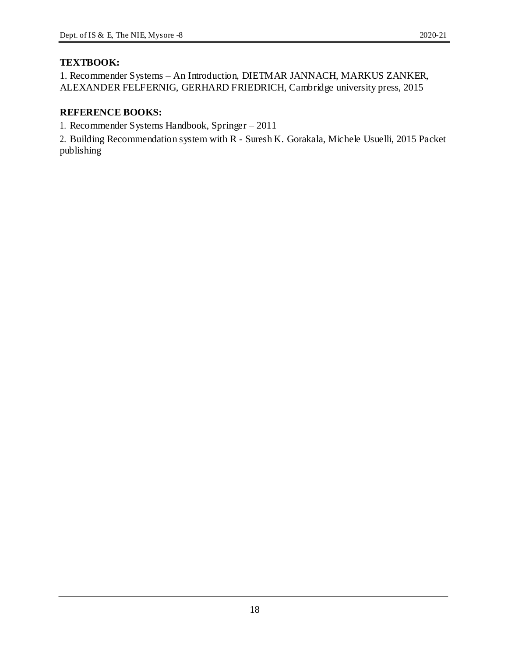### **TEXTBOOK:**

1. Recommender Systems – An Introduction, DIETMAR JANNACH, MARKUS ZANKER, ALEXANDER FELFERNIG, GERHARD FRIEDRICH, Cambridge university press, 2015

### **REFERENCE BOOKS:**

1. Recommender Systems Handbook, Springer – 2011

2. Building Recommendation system with R - Suresh K. Gorakala, Michele Usuelli, 2015 Packet publishing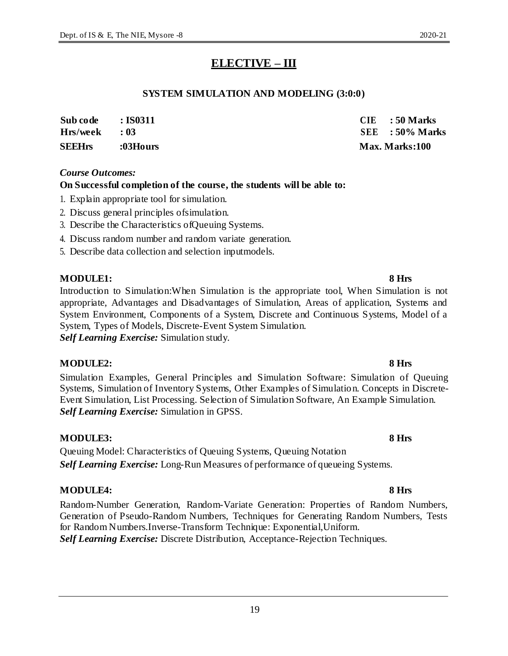# **ELECTIVE – III**

### **SYSTEM SIMULATION AND MODELING (3:0:0)**

| <b>SEEHrs</b> | :03Hours           | <b>Max. Marks:100</b> |  |
|---------------|--------------------|-----------------------|--|
| Hrs/week      | $\cdot$ 03         | $SEE$ : 50% Marks     |  |
| Sub code      | $\,$ : IS0311 $\,$ | $CIE$ : 50 Marks      |  |

#### *Course Outcomes:*

### **On Successful completion of the course, the students will be able to:**

- 1. Explain appropriate tool for simulation.
- 2. Discuss general principles ofsimulation.
- 3. Describe the Characteristics ofQueuing Systems.
- 4. Discuss random number and random variate generation.
- 5. Describe data collection and selection inputmodels.

### **MODULE1: 8 Hrs**

Introduction to Simulation:When Simulation is the appropriate tool, When Simulation is not appropriate, Advantages and Disadvantages of Simulation, Areas of application, Systems and System Environment, Components of a System, Discrete and Continuous Systems, Model of a System, Types of Models, Discrete-Event System Simulation. *Self Learning Exercise:* Simulation study.

#### **MODULE2: 8 Hrs**

Simulation Examples, General Principles and Simulation Software: Simulation of Queuing Systems, Simulation of Inventory Systems, Other Examples of Simulation. Concepts in Discrete-Event Simulation, List Processing. Selection of Simulation Software, An Example Simulation. *Self Learning Exercise:* Simulation in GPSS.

### **MODULE3: 8 Hrs**

Queuing Model: Characteristics of Queuing Systems, Queuing Notation *Self Learning Exercise:* Long-Run Measures of performance of queueing Systems.

### **MODULE4: 8 Hrs**

Random-Number Generation, Random-Variate Generation: Properties of Random Numbers, Generation of Pseudo-Random Numbers, Techniques for Generating Random Numbers, Tests for Random Numbers.Inverse-Transform Technique: Exponential,Uniform. *Self Learning Exercise:* Discrete Distribution, Acceptance-Rejection Techniques.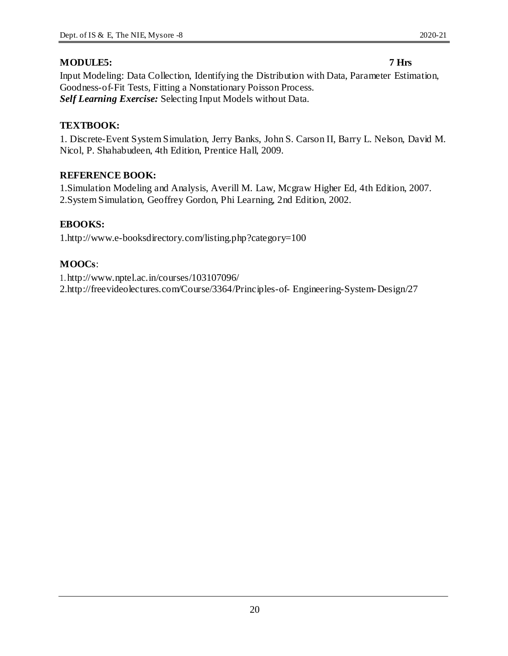### **MODULE5: 7 Hrs**

Input Modeling: Data Collection, Identifying the Distribution with Data, Parameter Estimation, Goodness-of-Fit Tests, Fitting a Nonstationary Poisson Process. *Self Learning Exercise:* Selecting Input Models without Data.

### **TEXTBOOK:**

1. Discrete-Event System Simulation, Jerry Banks, John S. Carson II, Barry L. Nelson, David M. Nicol, P. Shahabudeen, 4th Edition, Prentice Hall, 2009.

### **REFERENCE BOOK:**

1.Simulation Modeling and Analysis, Averill M. Law, Mcgraw Higher Ed, 4th Edition, 2007. 2.System Simulation, Geoffrey Gordon, Phi Learning, 2nd Edition, 2002.

### **EBOOKS:**

1.http://www.e-booksdirectory.com/listing.php?category=100

### **MOOCs**:

1. http://www.nptel.ac.in/courses/103107096/ 2.http://freevideolectures.com/Course/3364/Principles-of- Engineering-System-Design/27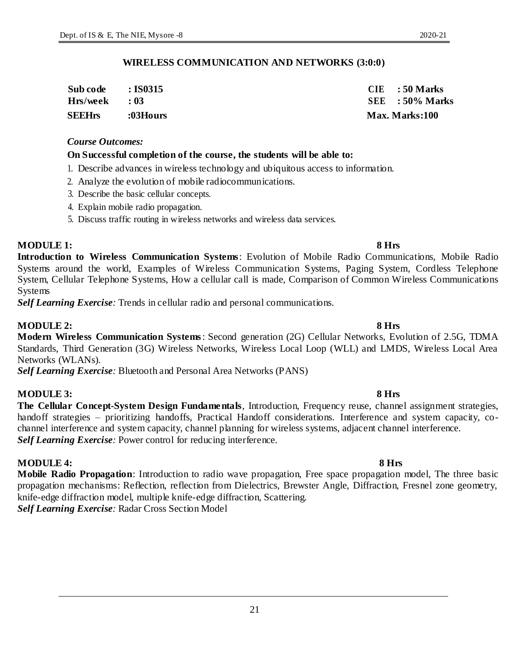*Course Outcomes:*

#### 3. Describe the basic cellular concepts.

- 4. Explain mobile radio propagation.
- 5. Discuss traffic routing in wireless networks and wireless data services.

2. Analyze the evolution of mobile radiocommunications.

**On Successful completion of the course, the students will be able to:**

1. Describe advances in wireless technology and ubiquitous access to information.

#### **MODULE 1: 8 Hrs**

**Introduction to Wireless Communication Systems**: Evolution of Mobile Radio Communications, Mobile Radio Systems around the world, Examples of Wireless Communication Systems, Paging System, Cordless Telephone System, Cellular Telephone Systems, How a cellular call is made, Comparison of Common Wireless Communications Systems

*Self Learning Exercise:* Trends in cellular radio and personal communications.

#### **MODULE 2: 8 Hrs**

**Modern Wireless Communication Systems**: Second generation (2G) Cellular Networks, Evolution of 2.5G, TDMA Standards, Third Generation (3G) Wireless Networks, Wireless Local Loop (WLL) and LMDS, Wireless Local Area Networks (WLANs).

*Self Learning Exercise:* Bluetooth and Personal Area Networks (PANS)

#### **MODULE 3: 8 Hrs**

**The Cellular Concept-System Design Fundamentals**, Introduction, Frequency reuse, channel assignment strategies, handoff strategies – prioritizing handoffs, Practical Handoff considerations. Interference and system capacity, cochannel interference and system capacity, channel planning for wireless systems, adjacent channel interference. *Self Learning Exercise:* Power control for reducing interference.

#### **MODULE 4: 8 Hrs**

**Mobile Radio Propagation**: Introduction to radio wave propagation, Free space propagation model, The three basic propagation mechanisms: Reflection, reflection from Dielectrics, Brewster Angle, Diffraction, Fresnel zone geometry, knife-edge diffraction model, multiple knife-edge diffraction, Scattering. *Self Learning Exercise:* Radar Cross Section Model

#### **WIRELESS COMMUNICATION AND NETWORKS (3:0:0)**

| Sub code        | $\cdot$ : IS0315 | $CIE$ : 50 Marks  |
|-----------------|------------------|-------------------|
| $Hrs/week$ : 03 |                  | $SEE$ : 50% Marks |
| <b>SEEHrs</b>   | :03Hours         | Max. Marks:100    |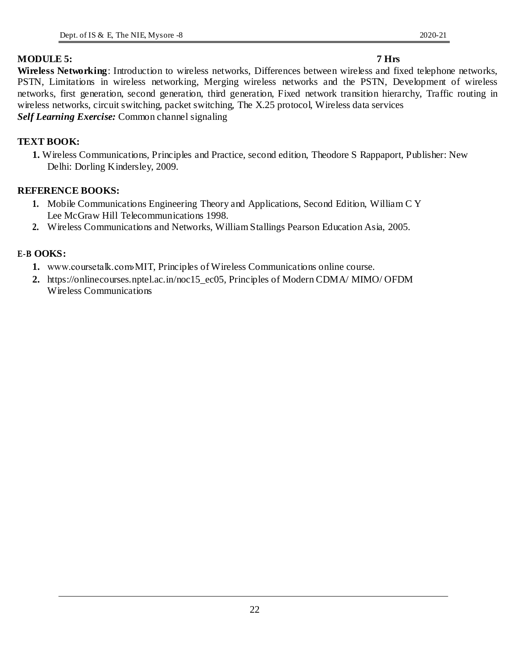**Wireless Networking**: Introduction to wireless networks, Differences between wireless and fixed telephone networks, PSTN, Limitations in wireless networking, Merging wireless networks and the PSTN, Development of wireless networks, first generation, second generation, third generation, Fixed network transition hierarchy, Traffic routing in wireless networks, circuit switching, packet switching, The X.25 protocol, Wireless data services *Self Learning Exercise:* Common channel signaling

### **TEXT BOOK:**

**1.** Wireless Communications, Principles and Practice, second edition, Theodore S Rappaport, Publisher: New Delhi: Dorling Kindersley, 2009.

### **REFERENCE BOOKS:**

- **1.** Mobile Communications Engineering Theory and Applications, Second Edition, William C Y Lee McGraw Hill Telecommunications 1998.
- **2.** Wireless Communications and Networks, William Stallings Pearson Education Asia, 2005.

### **E-B OOKS:**

- **1.** www.coursetalk.com>MIT, Principles of Wireless Communications online course.
- **2.** https://onlinecourses.nptel.ac.in/noc15\_ec05, Principles of Modern CDMA/ MIMO/ OFDM Wireless Communications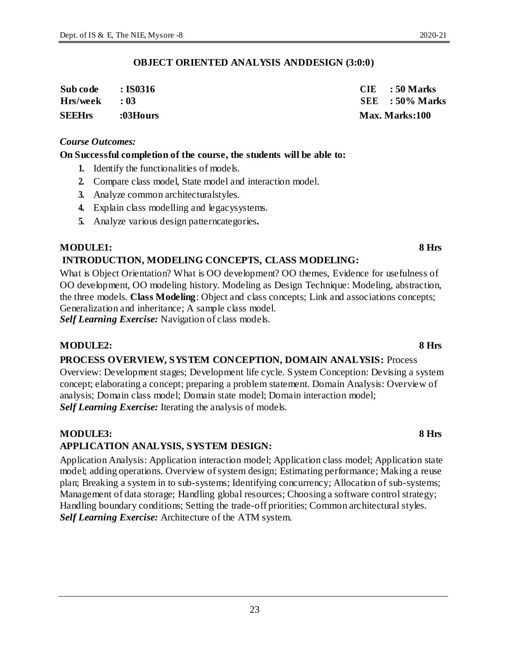### **OBJECT ORIENTED ANALYSIS ANDDESIGN (3:0:0)**

| Sub code        | $\cdot$ IS0316 | $CIE$ : 50 Marks      |
|-----------------|----------------|-----------------------|
| $Hrs/week$ : 03 |                | $SEE$ : 50% Marks     |
| <b>SEEHrs</b>   | :03Hours       | <b>Max. Marks:100</b> |

#### *Course Outcomes:*

#### **On Successful completion of the course, the students will be able to:**

- **1.** Identify the functionalities of models.
- **2.** Compare class model, State model and interaction model.
- **3.** Analyze common architecturalstyles.
- **4.** Explain class modelling and legacysystems.
- **5.** Analyze various design patterncategories**.**

### **MODULE1: 8 Hrs**

### **INTRODUCTION, MODELING CONCEPTS, CLASS MODELING:**

What is Object Orientation? What is OO development? OO themes, Evidence for usefulness of OO development, OO modeling history. Modeling as Design Technique: Modeling, abstraction, the three models. **Class Modeling**: Object and class concepts; Link and associations concepts; Generalization and inheritance; A sample class model.

*Self Learning Exercise:* Navigation of class models.

### **MODULE2: 8 Hrs**

### **PROCESS OVERVIEW, SYSTEM CONCEPTION, DOMAIN ANALYSIS:** Process Overview: Development stages; Development life cycle. System Conception: Devising a system concept; elaborating a concept; preparing a problem statement. Domain Analysis: Overview of analysis; Domain class model; Domain state model; Domain interaction model; *Self Learning Exercise:* Iterating the analysis of models.

#### **MODULE3: 8 Hrs APPLICATION ANALYSIS, SYSTEM DESIGN:**

Application Analysis: Application interaction model; Application class model; Application state model; adding operations. Overview of system design; Estimating performance; Making a reuse plan; Breaking a system in to sub-systems; Identifying concurrency; Allocation of sub-systems; Management of data storage; Handling global resources; Choosing a software control strategy; Handling boundary conditions; Setting the trade-off priorities; Common architectural styles. *Self Learning Exercise:* Architecture of the ATM system.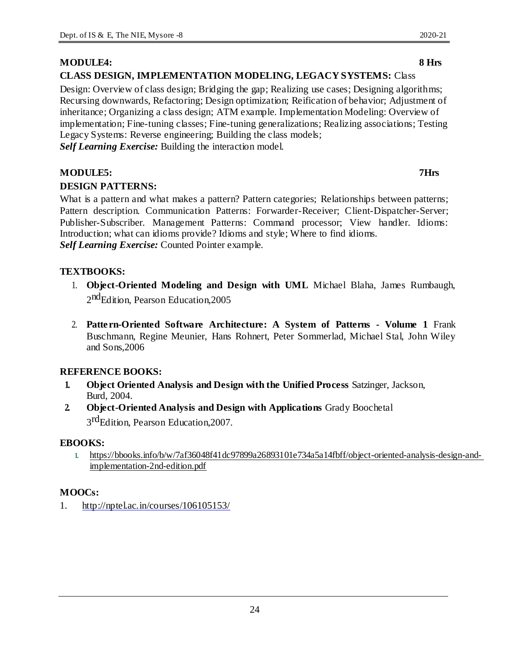### **MODULE4: 8 Hrs**

### **CLASS DESIGN, IMPLEMENTATION MODELING, LEGACY SYSTEMS:** Class

Design: Overview of class design; Bridging the gap; Realizing use cases; Designing algorithms; Recursing downwards, Refactoring; Design optimization; Reification of behavior; Adjustment of inheritance; Organizing a class design; ATM example. Implementation Modeling: Overview of implementation; Fine-tuning classes; Fine-tuning generalizations; Realizing associations; Testing Legacy Systems: Reverse engineering; Building the class models; *Self Learning Exercise:* Building the interaction model.

**MODULE5: 7Hrs**

### **DESIGN PATTERNS:**

What is a pattern and what makes a pattern? Pattern categories; Relationships between patterns; Pattern description. Communication Patterns: Forwarder-Receiver; Client-Dispatcher-Server; Publisher-Subscriber. Management Patterns: Command processor; View handler. Idioms: Introduction; what can idioms provide? Idioms and style; Where to find idioms. *Self Learning Exercise:* Counted Pointer example.

### **TEXTBOOKS:**

- 1. **Object-Oriented Modeling and Design with UML** Michael Blaha, James Rumbaugh, 2<sup>nd</sup>Edition, Pearson Education,2005
- 2. **Pattern-Oriented Software Architecture: A System of Patterns - Volume 1** Frank Buschmann, Regine Meunier, Hans Rohnert, Peter Sommerlad, Michael Stal, John Wiley and Sons,2006

### **REFERENCE BOOKS:**

- **1. Object Oriented Analysis and Design with the Unified Process** Satzinger, Jackson, Burd, 2004.
- **2. Object-Oriented Analysis and Design with Applications** Grady Boochetal 3<sup>rd</sup>Edition, Pearson Education, 2007.

### **EBOOKS:**

**1.** https://bbooks.info/b/w/7af36048f41dc97899a26893101e734a5a14fbff/object-oriented-analysis-design-andimplementation-2nd-edition.pdf

### **MOOCs:**

1. http://nptel.ac.in/courses/106105153/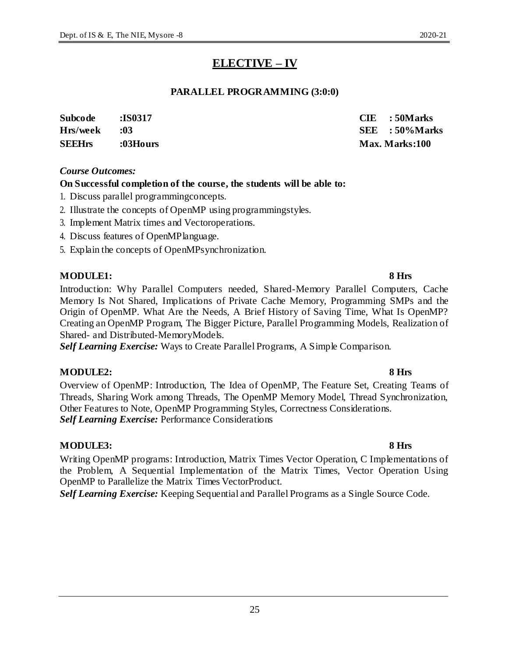# **ELECTIVE – IV**

### **PARALLEL PROGRAMMING (3:0:0)**

| <b>Subcode</b> | :IS0317  | $CIE$ : 50 Marks |
|----------------|----------|------------------|
| Hrs/week       | :03      | SEE : 50%Marks   |
| <b>SEEHrs</b>  | :03Hours | Max. Marks:100   |

#### *Course Outcomes:*

### **On Successful completion of the course, the students will be able to:**

- 1. Discuss parallel programmingconcepts.
- 2. Illustrate the concepts of OpenMP using programmingstyles.
- 3. Implement Matrix times and Vectoroperations.
- 4. Discuss features of OpenMPlanguage.
- 5. Explain the concepts of OpenMPsynchronization.

### **MODULE1: 8 Hrs**

Introduction: Why Parallel Computers needed, Shared-Memory Parallel Computers, Cache Memory Is Not Shared, Implications of Private Cache Memory, Programming SMPs and the Origin of OpenMP. What Are the Needs, A Brief History of Saving Time, What Is OpenMP? Creating an OpenMP Program, The Bigger Picture, Parallel Programming Models, Realization of Shared- and Distributed-MemoryModels.

*Self Learning Exercise:* Ways to Create Parallel Programs, A Simple Comparison.

### **MODULE2: 8 Hrs**

Overview of OpenMP: Introduction, The Idea of OpenMP, The Feature Set, Creating Teams of Threads, Sharing Work among Threads, The OpenMP Memory Model, Thread Synchronization, Other Features to Note, OpenMP Programming Styles, Correctness Considerations. *Self Learning Exercise:* Performance Considerations

### **MODULE3: 8 Hrs**

Writing OpenMP programs: Introduction, Matrix Times Vector Operation, C Implementations of the Problem, A Sequential Implementation of the Matrix Times, Vector Operation Using OpenMP to Parallelize the Matrix Times VectorProduct.

*Self Learning Exercise:* Keeping Sequential and Parallel Programs as a Single Source Code.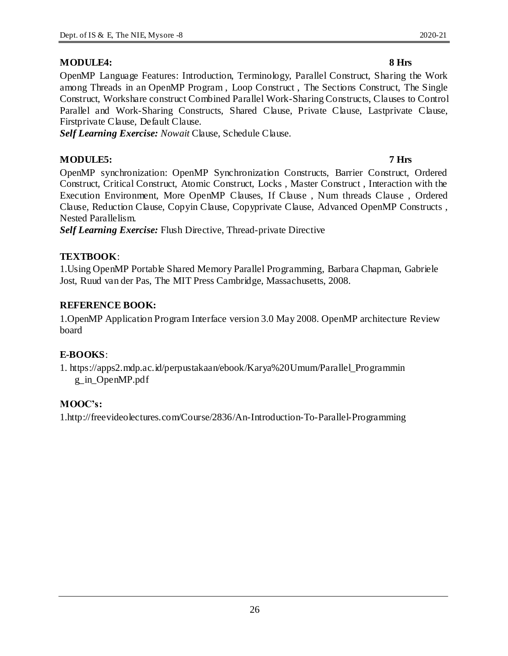### **MODULE4: 8 Hrs**

### OpenMP Language Features: Introduction, Terminology, Parallel Construct, Sharing the Work among Threads in an OpenMP Program , Loop Construct , The Sections Construct, The Single Construct, Workshare construct Combined Parallel Work-Sharing Constructs, Clauses to Control Parallel and Work-Sharing Constructs, Shared Clause, Private Clause, Lastprivate Clause, Firstprivate Clause, Default Clause.

*Self Learning Exercise: Nowait* Clause, Schedule Clause.

### **MODULE5: 7 Hrs**

OpenMP synchronization: OpenMP Synchronization Constructs, Barrier Construct, Ordered Construct, Critical Construct, Atomic Construct, Locks , Master Construct , Interaction with the Execution Environment, More OpenMP Clauses, If Clause , Num threads Clause , Ordered Clause, Reduction Clause, Copyin Clause, Copyprivate Clause, Advanced OpenMP Constructs , Nested Parallelism.

*Self Learning Exercise:* Flush Directive, Thread-private Directive

## **TEXTBOOK**:

1.Using OpenMP Portable Shared Memory Parallel Programming, Barbara Chapman, Gabriele Jost, Ruud van der Pas, The MIT Press Cambridge, Massachusetts, 2008.

# **REFERENCE BOOK:**

1.OpenMP Application Program Interface version 3.0 May 2008. OpenMP architecture Review board

# **E-BOOKS**:

1. https://apps2.mdp.ac.id/perpustakaan/ebook/Karya%20Umum/Parallel\_Programmin g\_in\_OpenMP.pdf

# **MOOC's:**

1.http://freevideolectures.com/Course/2836/An-Introduction-To-Parallel-Programming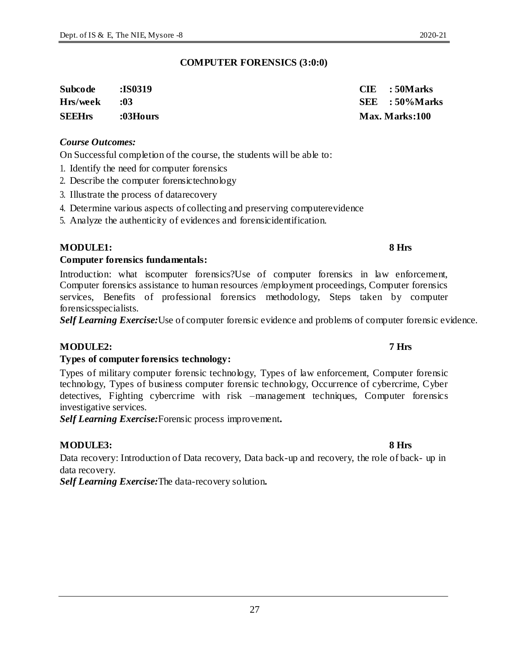#### **COMPUTER FORENSICS (3:0:0)**

| <b>Subcode</b> | <b>:IS0319</b> | $CIE$ : 50 Marks |
|----------------|----------------|------------------|
| Hrs/week       | :03            | SEE : 50%Marks   |
| <b>SEEHrs</b>  | :03Hours       | Max. Marks:100   |

#### *Course Outcomes:*

On Successful completion of the course, the students will be able to:

- 1. Identify the need for computer forensics
- 2. Describe the computer forensictechnology
- 3. Illustrate the process of datarecovery
- 4. Determine various aspects of collecting and preserving computerevidence
- 5. Analyze the authenticity of evidences and forensicidentification.

### **MODULE1: 8 Hrs**

#### **Computer forensics fundamentals:**

Introduction: what iscomputer forensics?Use of computer forensics in law enforcement, Computer forensics assistance to human resources /employment proceedings, Computer forensics services, Benefits of professional forensics methodology, Steps taken by computer forensicsspecialists.

*Self Learning Exercise:*Use of computer forensic evidence and problems of computer forensic evidence.

### **MODULE2: 7 Hrs**

#### **Types of computer forensics technology:**

Types of military computer forensic technology, Types of law enforcement, Computer forensic technology, Types of business computer forensic technology, Occurrence of cybercrime, Cyber detectives, Fighting cybercrime with risk –management techniques, Computer forensics investigative services.

*Self Learning Exercise:*Forensic process improvement**.**

### **MODULE3: 8 Hrs**

Data recovery: Introduction of Data recovery, Data back-up and recovery, the role of back- up in data recovery.

*Self Learning Exercise:*The data-recovery solution**.**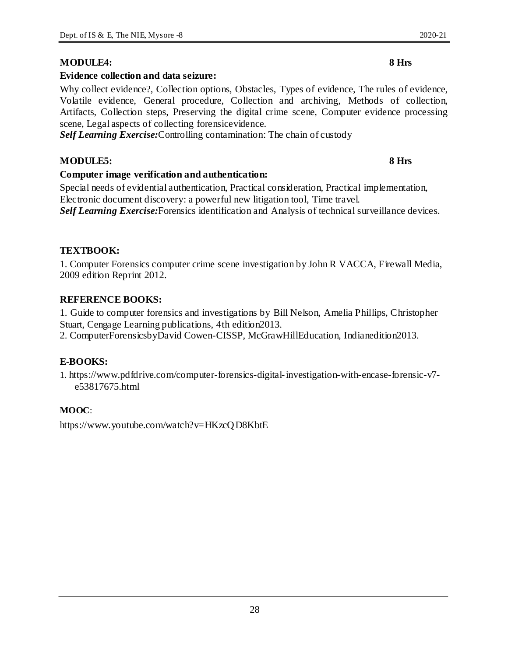### **MODULE4: 8 Hrs**

### **Evidence collection and data seizure:**

Why collect evidence?, Collection options, Obstacles, Types of evidence, The rules of evidence, Volatile evidence, General procedure, Collection and archiving, Methods of collection, Artifacts, Collection steps, Preserving the digital crime scene, Computer evidence processing scene, Legal aspects of collecting forensicevidence.

*Self Learning Exercise:*Controlling contamination: The chain of custody

### **MODULE5: 8 Hrs**

### **Computer image verification and authentication:**

Special needs of evidential authentication, Practical consideration, Practical implementation, Electronic document discovery: a powerful new litigation tool, Time travel. *Self Learning Exercise:*Forensics identification and Analysis of technical surveillance devices.

### **TEXTBOOK:**

1. Computer Forensics computer crime scene investigation by John R VACCA, Firewall Media, 2009 edition Reprint 2012.

### **REFERENCE BOOKS:**

1. Guide to computer forensics and investigations by Bill Nelson, Amelia Phillips, Christopher Stuart, Cengage Learning publications, 4th edition2013.

2. ComputerForensicsbyDavid Cowen-CISSP, McGrawHillEducation, Indianedition2013.

### **E-BOOKS:**

1. https://www.pdfdrive.com/computer-forensics-digital-investigation-with-encase-forensic-v7 e53817675.html

### **MOOC**:

https://www.youtube.com/watch?v=HKzcQD8KbtE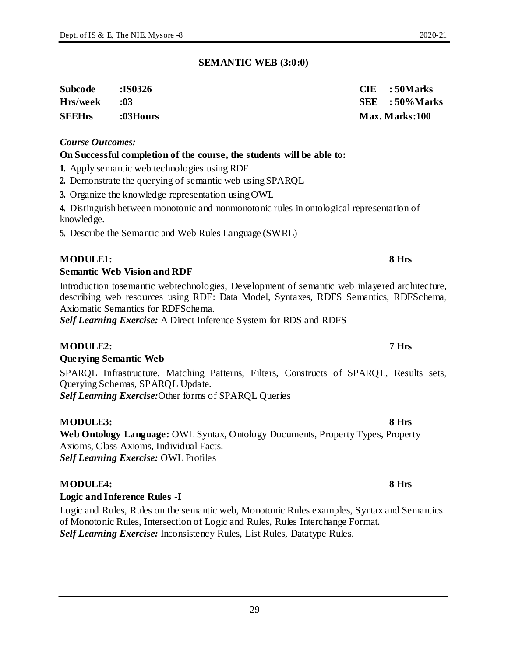#### **SEMANTIC WEB (3:0:0)**

| <b>Subcode</b> | :IS0326  | $CIE$ : 50 Marks |
|----------------|----------|------------------|
| Hrs/week       | :03      | SEE : 50%Marks   |
| <b>SEEHrs</b>  | :03Hours | Max. Marks:100   |

#### *Course Outcomes:*

#### **On Successful completion of the course, the students will be able to:**

**1.** Apply semantic web technologies using RDF

- **2.** Demonstrate the querying of semantic web usingSPARQL
- **3.** Organize the knowledge representation usingOWL

**4.** Distinguish between monotonic and nonmonotonic rules in ontological representation of knowledge.

**5.** Describe the Semantic and Web Rules Language (SWRL)

### **MODULE1: 8 Hrs**

### **Semantic Web Vision and RDF**

Introduction tosemantic webtechnologies, Development of semantic web inlayered architecture, describing web resources using RDF: Data Model, Syntaxes, RDFS Semantics, RDFSchema, Axiomatic Semantics for RDFSchema.

*Self Learning Exercise:* A Direct Inference System for RDS and RDFS

### **MODULE2: 7 Hrs**

#### **Querying Semantic Web**

SPARQL Infrastructure, Matching Patterns, Filters, Constructs of SPARQL, Results sets, Querying Schemas, SPARQL Update. *Self Learning Exercise:*Other forms of SPARQL Queries

### **MODULE3: 8 Hrs**

**Web Ontology Language:** OWL Syntax, Ontology Documents, Property Types, Property Axioms, Class Axioms, Individual Facts. *Self Learning Exercise:* OWL Profiles

### **MODULE4: 8 Hrs**

### **Logic and Inference Rules -I**

Logic and Rules, Rules on the semantic web, Monotonic Rules examples, Syntax and Semantics of Monotonic Rules, Intersection of Logic and Rules, Rules Interchange Format. *Self Learning Exercise:* Inconsistency Rules, List Rules, Datatype Rules.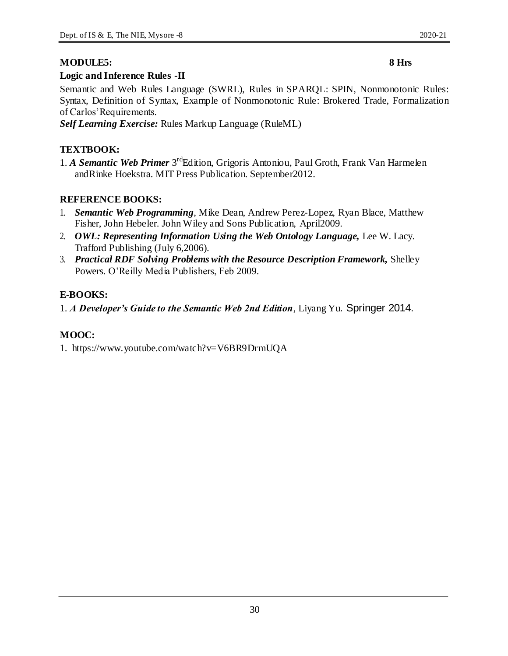### **MODULE5: 8 Hrs**

#### **Logic and Inference Rules -II**

Semantic and Web Rules Language (SWRL), Rules in SPARQL: SPIN, Nonmonotonic Rules: Syntax, Definition of Syntax, Example of Nonmonotonic Rule: Brokered Trade, Formalization of Carlos'Requirements.

*Self Learning Exercise:* Rules Markup Language (RuleML)

### **TEXTBOOK:**

1. *A Semantic Web Primer* 3<sup>rd</sup>Edition, Grigoris Antoniou, Paul Groth, Frank Van Harmelen andRinke Hoekstra. MIT Press Publication. September2012.

### **REFERENCE BOOKS:**

- 1. *Semantic Web Programming*, Mike Dean, Andrew Perez-Lopez, Ryan Blace, Matthew Fisher, John Hebeler. John Wiley and Sons Publication, April2009.
- 2. *OWL: Representing Information Using the Web Ontology Language, Lee W. Lacy.* Trafford Publishing (July 6,2006).
- 3. *Practical RDF Solving Problems with the Resource Description Framework,* Shelley Powers. O'Reilly Media Publishers, Feb 2009.

### **E-BOOKS:**

1. *A Developer's Guide to the Semantic Web 2nd Edition*, Liyang Yu. Springer 2014.

### **MOOC:**

1. https://www.youtube.com/watch?v=V6BR9DrmUQA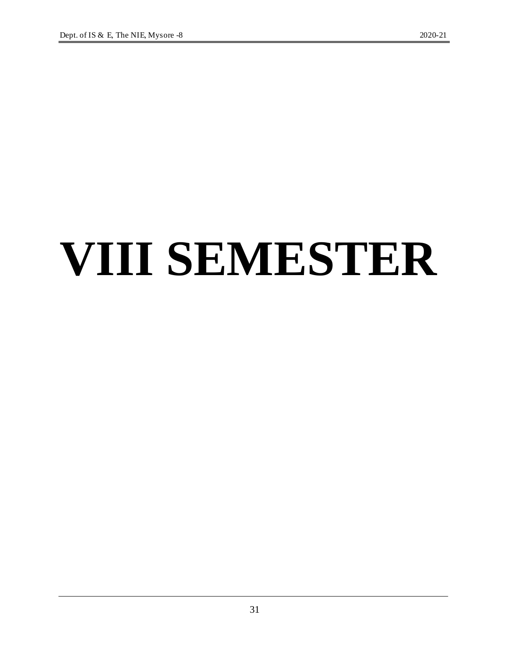# **VIII SEMESTER**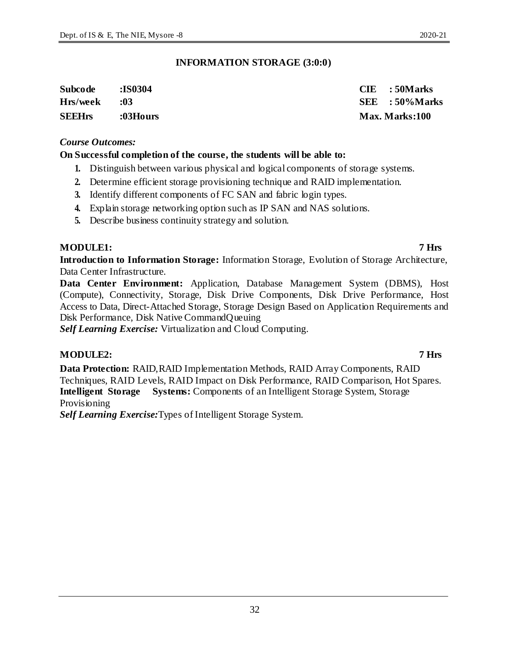#### **INFORMATION STORAGE (3:0:0)**

| Subcode       | :IS0304  | $CIE$ : 50 Marks  |
|---------------|----------|-------------------|
| Hrs/week      | :03      | $SEE$ : 50% Marks |
| <b>SEEHrs</b> | :03Hours | Max. Marks:100    |

#### *Course Outcomes:*

#### **On Successful completion of the course, the students will be able to:**

- **1.** Distinguish between various physical and logical components of storage systems.
- **2.** Determine efficient storage provisioning technique and RAID implementation.
- **3.** Identify different components of FC SAN and fabric login types.
- **4.** Explain storage networking option such as IP SAN and NAS solutions.
- **5.** Describe business continuity strategy and solution.

#### **MODULE1: 7 Hrs**

**Introduction to Information Storage:** Information Storage, Evolution of Storage Architecture, Data Center Infrastructure.

**Data Center Environment:** Application, Database Management System (DBMS), Host (Compute), Connectivity, Storage, Disk Drive Components, Disk Drive Performance, Host Access to Data, Direct-Attached Storage, Storage Design Based on Application Requirements and Disk Performance, Disk Native CommandQueuing

*Self Learning Exercise:* Virtualization and Cloud Computing.

#### **MODULE2: 7 Hrs**

**Data Protection:** RAID,RAID Implementation Methods, RAID Array Components, RAID Techniques, RAID Levels, RAID Impact on Disk Performance, RAID Comparison, Hot Spares. **Intelligent Storage Systems:** Components of an Intelligent Storage System, Storage Provisioning

*Self Learning Exercise:*Types of Intelligent Storage System.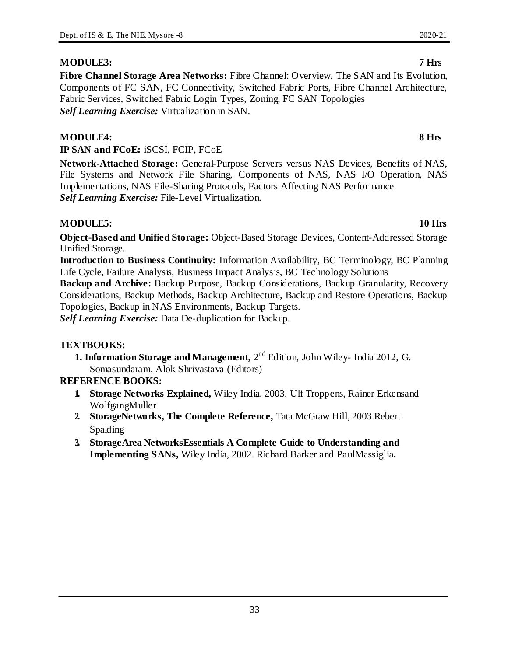### **MODULE3: 7 Hrs**

**Fibre Channel Storage Area Networks:** Fibre Channel: Overview, The SAN and Its Evolution, Components of FC SAN, FC Connectivity, Switched Fabric Ports, Fibre Channel Architecture, Fabric Services, Switched Fabric Login Types, Zoning, FC SAN Topologies *Self Learning Exercise:* Virtualization in SAN.

#### **MODULE4: 8 Hrs**

**IP SAN and FCoE:** iSCSI, FCIP, FCoE

**Network-Attached Storage:** General-Purpose Servers versus NAS Devices, Benefits of NAS, File Systems and Network File Sharing, Components of NAS, NAS I/O Operation, NAS Implementations, NAS File-Sharing Protocols, Factors Affecting NAS Performance *Self Learning Exercise:* File-Level Virtualization.

#### **MODULE5: 10 Hrs**

**Object-Based and Unified Storage:** Object-Based Storage Devices, Content-Addressed Storage Unified Storage.

**Introduction to Business Continuity:** Information Availability, BC Terminology, BC Planning Life Cycle, Failure Analysis, Business Impact Analysis, BC Technology Solutions

**Backup and Archive:** Backup Purpose, Backup Considerations, Backup Granularity, Recovery Considerations, Backup Methods, Backup Architecture, Backup and Restore Operations, Backup Topologies, Backup in NAS Environments, Backup Targets.

*Self Learning Exercise:* Data De-duplication for Backup.

#### **TEXTBOOKS:**

**1. Information Storage and Management,** 2<sup>nd</sup> Edition, John Wiley- India 2012, G. Somasundaram, Alok Shrivastava (Editors)

#### **REFERENCE BOOKS:**

- **1. Storage Networks Explained,** Wiley India, 2003. Ulf Troppens, Rainer Erkensand WolfgangMuller
- **2. StorageNetworks, The Complete Reference,** Tata McGraw Hill, 2003.Rebert Spalding
- **3. StorageArea NetworksEssentials A Complete Guide to Understanding and Implementing SANs,** Wiley India, 2002. Richard Barker and PaulMassiglia**.**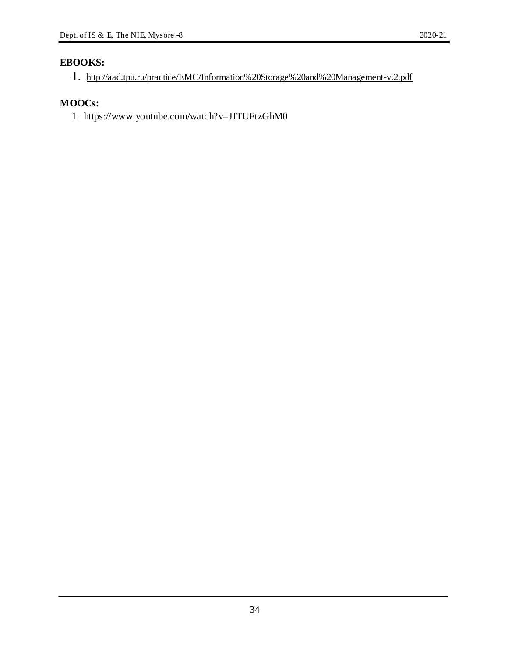## **EBOOKS:**

```
1. http://aad.tpu.ru/practice/EMC/Information%20Storage%20and%20Management-v.2.pdf
```
# **MOOCs:**

1. https://www.youtube.com/watch?v=JITUFtzGhM0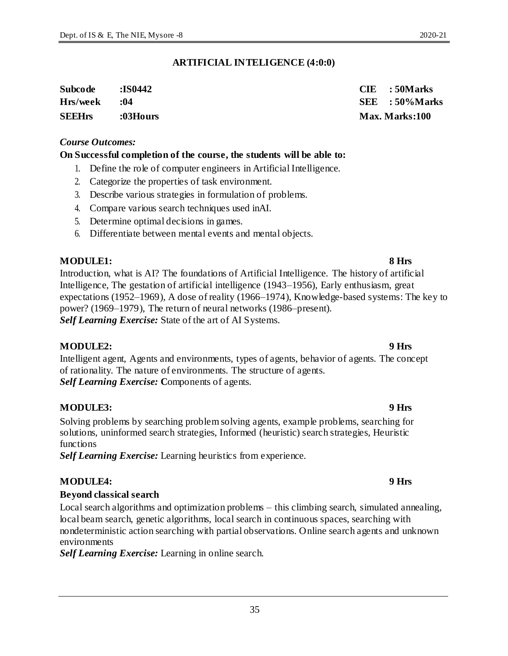#### **ARTIFICIAL INTELIGENCE (4:0:0)**

| Subcode       | :IS0442  | $CIE$ : 50 Marks  |
|---------------|----------|-------------------|
| Hrs/week      | .04      | $SEE$ : 50% Marks |
| <b>SEEHrs</b> | :03Hours | Max. Marks:100    |

#### *Course Outcomes:*

#### **On Successful completion of the course, the students will be able to:**

- 1. Define the role of computer engineers in Artificial Intelligence.
- 2. Categorize the properties of task environment.
- 3. Describe various strategies in formulation of problems.
- 4. Compare various search techniques used inAI.
- 5. Determine optimal decisions in games.
- 6. Differentiate between mental events and mental objects.

#### **MODULE1: 8 Hrs**

Introduction, what is AI? The foundations of Artificial Intelligence. The history of artificial Intelligence, The gestation of artificial intelligence (1943–1956), Early enthusiasm, great expectations (1952–1969), A dose of reality (1966–1974), Knowledge-based systems: The key to power? (1969–1979), The return of neural networks (1986–present). *Self Learning Exercise:* State of the art of AI Systems.

#### **MODULE2: 9 Hrs**

Intelligent agent, Agents and environments, types of agents, behavior of agents. The concept of rationality. The nature of environments. The structure of agents. *Self Learning Exercise:* **C**omponents of agents.

#### **MODULE3: 9 Hrs**

Solving problems by searching problem solving agents, example problems, searching for solutions, uninformed search strategies, Informed (heuristic) search strategies, Heuristic functions

*Self Learning Exercise:* Learning heuristics from experience.

#### **MODULE4: 9 Hrs**

#### **Beyond classical search**

Local search algorithms and optimization problems – this climbing search, simulated annealing, local beam search, genetic algorithms, local search in continuous spaces, searching with nondeterministic action searching with partial observations. Online search agents and unknown environments

*Self Learning Exercise:* Learning in online search.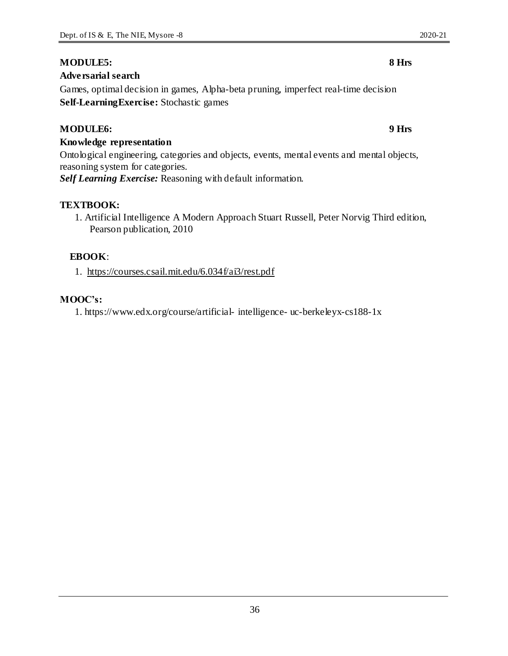### **MODULE5: 8 Hrs**

### **Adversarial search**

Games, optimal decision in games, Alpha-beta pruning, imperfect real-time decision **Self-LearningExercise:** Stochastic games

#### **MODULE6: 9 Hrs**

#### **Knowledge representation**

Ontological engineering, categories and objects, events, mental events and mental objects, reasoning system for categories.

*Self Learning Exercise:* Reasoning with default information.

### **TEXTBOOK:**

1. Artificial Intelligence A Modern Approach Stuart Russell, Peter Norvig Third edition, Pearson publication, 2010

### **EBOOK**:

1. https://courses.csail.mit.edu/6.034f/ai3/rest.pdf

#### **MOOC's:**

1. https://www.edx.org/course/artificial- intelligence- uc-berkeleyx-cs188-1x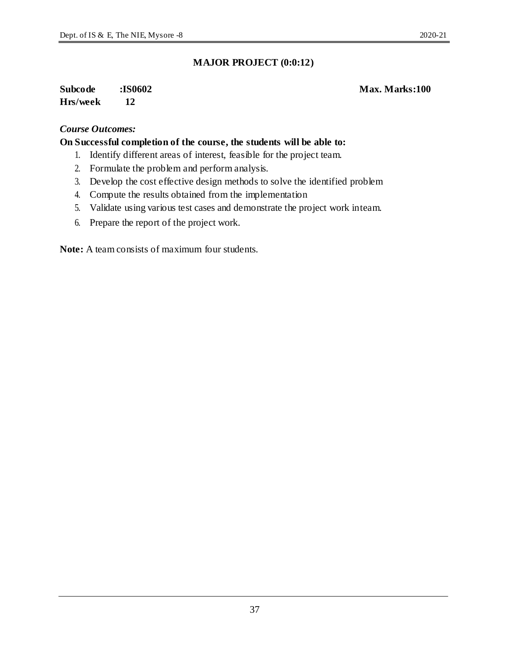### **Subcode :IS0602 Max. Marks:100 Hrs/week 12**

#### *Course Outcomes:*

#### **On Successful completion of the course, the students will be able to:**

- 1. Identify different areas of interest, feasible for the project team.
- 2. Formulate the problem and perform analysis.
- 3. Develop the cost effective design methods to solve the identified problem
- 4. Compute the results obtained from the implementation
- 5. Validate using various test cases and demonstrate the project work inteam.
- 6. Prepare the report of the project work.

**Note:** A team consists of maximum four students.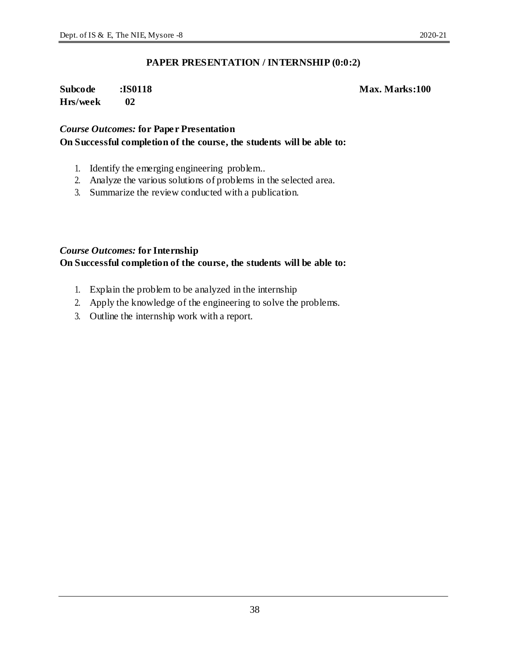#### **PAPER PRESENTATION / INTERNSHIP (0:0:2)**

### **Subcode :IS0118 Max. Marks:100 Hrs/week 02**

### *Course Outcomes:* **for Paper Presentation On Successful completion of the course, the students will be able to:**

- 1. Identify the emerging engineering problem..
- 2. Analyze the various solutions of problems in the selected area.
- 3. Summarize the review conducted with a publication.

### *Course Outcomes:* **for Internship**

#### **On Successful completion of the course, the students will be able to:**

- 1. Explain the problem to be analyzed in the internship
- 2. Apply the knowledge of the engineering to solve the problems.
- 3. Outline the internship work with a report.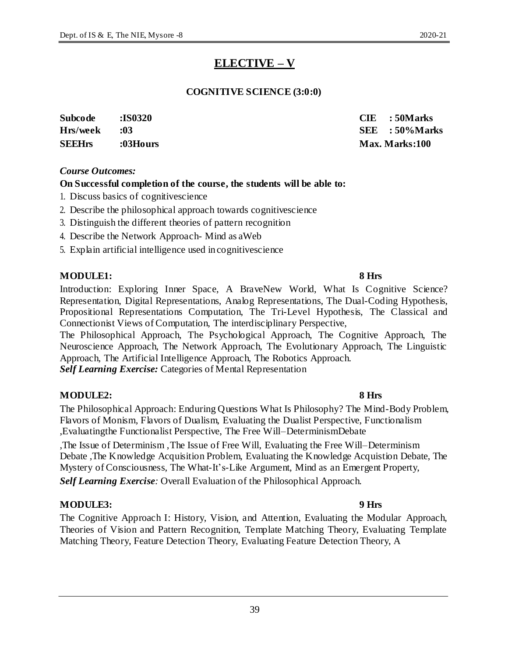# **ELECTIVE – V**

### **COGNITIVE SCIENCE (3:0:0)**

| Subcode       | <b>:IS0320</b> | $CIE$ : 50 Marks |
|---------------|----------------|------------------|
| Hrs/week      | $\cdot$ :03    | $SEE$ : 50% Mar  |
| <b>SEEHrs</b> | :03Hours       | Max. Marks:100   |

### *Course Outcomes:*

### **On Successful completion of the course, the students will be able to:**

- 1. Discuss basics of cognitivescience
- 2. Describe the philosophical approach towards cognitivescience
- 3. Distinguish the different theories of pattern recognition
- 4. Describe the Network Approach- Mind as aWeb
- 5. Explain artificial intelligence used in cognitivescience

#### **MODULE1: 8 Hrs**

Introduction: Exploring Inner Space, A BraveNew World, What Is Cognitive Science? Representation, Digital Representations, Analog Representations, The Dual-Coding Hypothesis, Propositional Representations Computation, The Tri-Level Hypothesis, The Classical and Connectionist Views of Computation, The interdisciplinary Perspective,

The Philosophical Approach, The Psychological Approach, The Cognitive Approach, The Neuroscience Approach, The Network Approach, The Evolutionary Approach, The Linguistic Approach, The Artificial Intelligence Approach, The Robotics Approach. *Self Learning Exercise:* Categories of Mental Representation

### **MODULE2: 8 Hrs**

The Philosophical Approach: Enduring Questions What Is Philosophy? The Mind-Body Problem, Flavors of Monism, Flavors of Dualism, Evaluating the Dualist Perspective, Functionalism ,Evaluatingthe Functionalist Perspective, The Free Will–DeterminismDebate

,The Issue of Determinism ,The Issue of Free Will, Evaluating the Free Will–Determinism Debate ,The Knowledge Acquisition Problem, Evaluating the Knowledge Acquistion Debate, The Mystery of Consciousness, The What-It's-Like Argument, Mind as an Emergent Property, *Self Learning Exercise:* Overall Evaluation of the Philosophical Approach.

### **MODULE3: 9 Hrs**

The Cognitive Approach I: History, Vision, and Attention, Evaluating the Modular Approach, Theories of Vision and Pattern Recognition, Template Matching Theory, Evaluating Template Matching Theory, Feature Detection Theory, Evaluating Feature Detection Theory, A

**Hrs/week :03 SEE : 50%Marks SEEHrs :03Hours Max. Marks:100**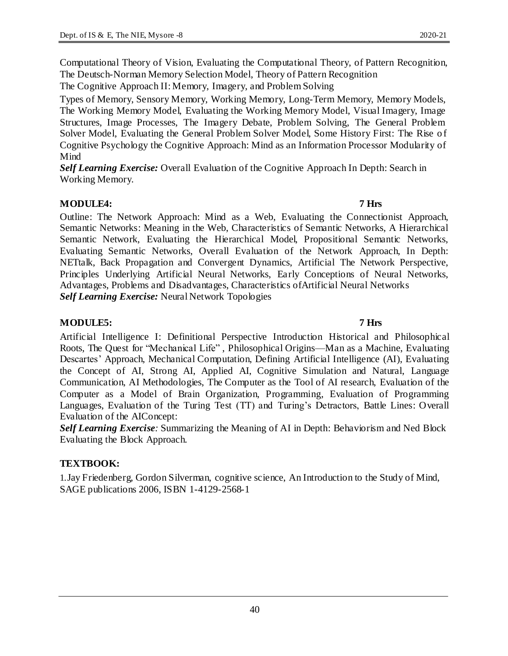Computational Theory of Vision, Evaluating the Computational Theory, of Pattern Recognition, The Deutsch-Norman Memory Selection Model, Theory of Pattern Recognition

The Cognitive Approach II: Memory, Imagery, and Problem Solving

Types of Memory, Sensory Memory, Working Memory, Long-Term Memory, Memory Models, The Working Memory Model, Evaluating the Working Memory Model, Visual Imagery, Image Structures, Image Processes, The Imagery Debate, Problem Solving, The General Problem Solver Model, Evaluating the General Problem Solver Model, Some History First: The Rise o f Cognitive Psychology the Cognitive Approach: Mind as an Information Processor Modularity of Mind

*Self Learning Exercise:* Overall Evaluation of the Cognitive Approach In Depth: Search in Working Memory.

### **MODULE4: 7 Hrs**

Outline: The Network Approach: Mind as a Web, Evaluating the Connectionist Approach, Semantic Networks: Meaning in the Web, Characteristics of Semantic Networks, A Hierarchical Semantic Network, Evaluating the Hierarchical Model, Propositional Semantic Networks, Evaluating Semantic Networks, Overall Evaluation of the Network Approach, In Depth: NETtalk, Back Propagation and Convergent Dynamics, Artificial The Network Perspective, Principles Underlying Artificial Neural Networks, Early Conceptions of Neural Networks, Advantages, Problems and Disadvantages, Characteristics ofArtificial Neural Networks *Self Learning Exercise:* Neural Network Topologies

### **MODULE5: 7 Hrs**

Artificial Intelligence I: Definitional Perspective Introduction Historical and Philosophical Roots, The Quest for "Mechanical Life" , Philosophical Origins—Man as a Machine, Evaluating Descartes' Approach, Mechanical Computation, Defining Artificial Intelligence (AI), Evaluating the Concept of AI, Strong AI, Applied AI, Cognitive Simulation and Natural, Language Communication, AI Methodologies, The Computer as the Tool of AI research, Evaluation of the Computer as a Model of Brain Organization, Programming, Evaluation of Programming Languages, Evaluation of the Turing Test (TT) and Turing's Detractors, Battle Lines: Overall Evaluation of the AIConcept:

*Self Learning Exercise:* Summarizing the Meaning of AI in Depth: Behaviorism and Ned Block Evaluating the Block Approach.

### **TEXTBOOK:**

1.Jay Friedenberg, Gordon Silverman, cognitive science, An Introduction to the Study of Mind, SAGE publications 2006, ISBN 1-4129-2568-1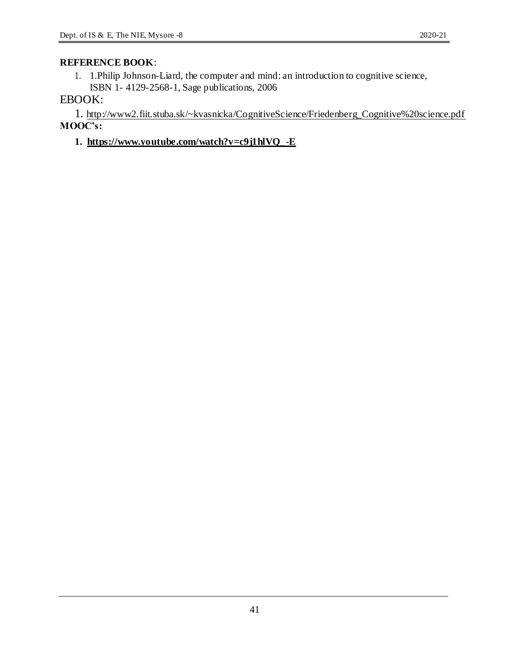### **REFERENCE BOOK**:

1. 1.Philip Johnson-Liard, the computer and mind: an introduction to cognitive science, ISBN 1- 4129-2568-1, Sage publications, 2006

### EBOOK:

1. http://www2.fiit.stuba.sk/~kvasnicka/CognitiveScience/Friedenberg\_Cognitive%20science.pdf **MOOC's:**

### **1. https://www.youtube.com/watch?v=c9j1hlVQ\_-E**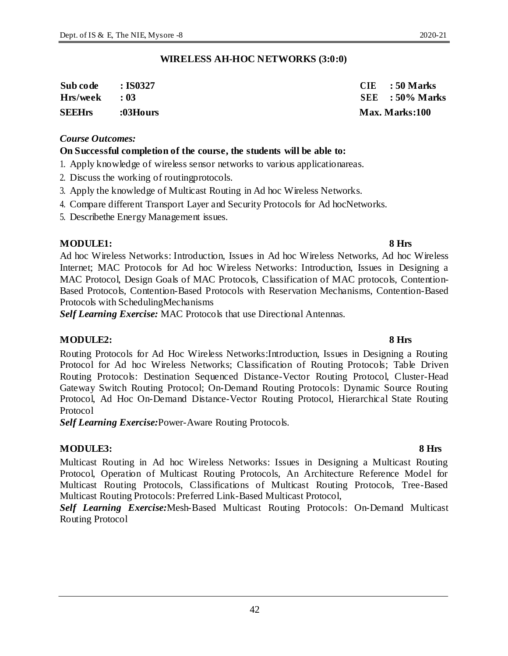#### **WIRELESS AH-HOC NETWORKS (3:0:0)**

| Sub code      | $\cdot$ IS0327 | $CIE$ : 50 Marks      |
|---------------|----------------|-----------------------|
| Hrs/week      | $\cdot$ 03     | $SEE$ : 50% Marks     |
| <b>SEEHrs</b> | :03Hours       | <b>Max. Marks:100</b> |

#### *Course Outcomes:*

#### **On Successful completion of the course, the students will be able to:**

- 1. Apply knowledge of wireless sensor networks to various applicationareas.
- 2. Discuss the working of routingprotocols.
- 3. Apply the knowledge of Multicast Routing in Ad hoc Wireless Networks.
- 4. Compare different Transport Layer and Security Protocols for Ad hocNetworks.
- 5. Describethe Energy Management issues.

#### **MODULE1: 8 Hrs**

Ad hoc Wireless Networks: Introduction, Issues in Ad hoc Wireless Networks, Ad hoc Wireless Internet; MAC Protocols for Ad hoc Wireless Networks: Introduction, Issues in Designing a MAC Protocol, Design Goals of MAC Protocols, Classification of MAC protocols, Contention-Based Protocols, Contention-Based Protocols with Reservation Mechanisms, Contention-Based Protocols with SchedulingMechanisms

*Self Learning Exercise:* MAC Protocols that use Directional Antennas.

#### **MODULE2: 8 Hrs**

Routing Protocols for Ad Hoc Wireless Networks:Introduction, Issues in Designing a Routing Protocol for Ad hoc Wireless Networks; Classification of Routing Protocols; Table Driven Routing Protocols: Destination Sequenced Distance-Vector Routing Protocol, Cluster-Head Gateway Switch Routing Protocol; On-Demand Routing Protocols: Dynamic Source Routing Protocol, Ad Hoc On-Demand Distance-Vector Routing Protocol, Hierarchical State Routing Protocol

*Self Learning Exercise:*Power-Aware Routing Protocols.

#### **MODULE3: 8 Hrs**

Multicast Routing in Ad hoc Wireless Networks: Issues in Designing a Multicast Routing Protocol, Operation of Multicast Routing Protocols, An Architecture Reference Model for Multicast Routing Protocols, Classifications of Multicast Routing Protocols, Tree-Based Multicast Routing Protocols: Preferred Link-Based Multicast Protocol,

*Self Learning Exercise:*Mesh-Based Multicast Routing Protocols: On-Demand Multicast Routing Protocol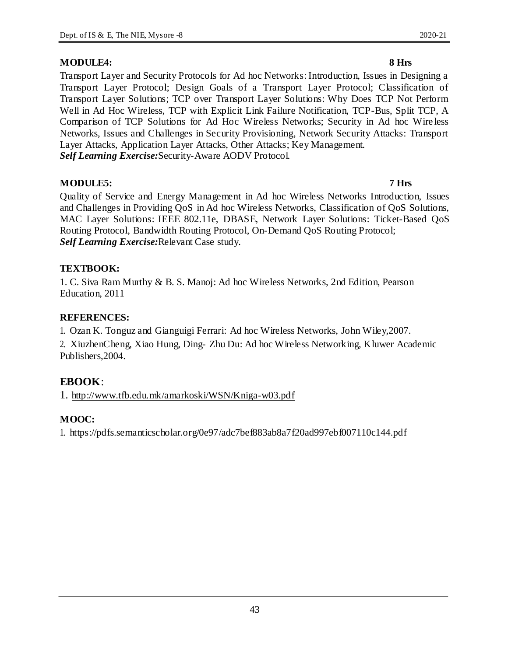Transport Layer and Security Protocols for Ad hoc Networks: Introduction, Issues in Designing a Transport Layer Protocol; Design Goals of a Transport Layer Protocol; Classification of Transport Layer Solutions; TCP over Transport Layer Solutions: Why Does TCP Not Perform Well in Ad Hoc Wireless, TCP with Explicit Link Failure Notification, TCP-Bus, Split TCP, A Comparison of TCP Solutions for Ad Hoc Wireless Networks; Security in Ad hoc Wire less Networks, Issues and Challenges in Security Provisioning, Network Security Attacks: Transport Layer Attacks, Application Layer Attacks, Other Attacks; Key Management. *Self Learning Exercise:*Security-Aware AODV Protocol.

### **MODULE5: 7 Hrs**

Quality of Service and Energy Management in Ad hoc Wireless Networks Introduction, Issues and Challenges in Providing QoS in Ad hoc Wireless Networks, Classification of QoS Solutions, MAC Layer Solutions: IEEE 802.11e, DBASE, Network Layer Solutions: Ticket-Based QoS Routing Protocol, Bandwidth Routing Protocol, On-Demand QoS Routing Protocol; *Self Learning Exercise:*Relevant Case study.

### **TEXTBOOK:**

1. C. Siva Ram Murthy & B. S. Manoj: Ad hoc Wireless Networks, 2nd Edition, Pearson Education, 2011

### **REFERENCES:**

1. Ozan K. Tonguz and Gianguigi Ferrari: Ad hoc Wireless Networks, John Wiley,2007.

2. XiuzhenCheng, Xiao Hung, Ding- Zhu Du: Ad hoc Wireless Networking, Kluwer Academic Publishers,2004.

### **EBOOK**:

1. http://www.tfb.edu.mk/amarkoski/WSN/Kniga-w03.pdf

### **MOOC:**

1. https://pdfs.semanticscholar.org/0e97/adc7bef883ab8a7f20ad997ebf007110c144.pdf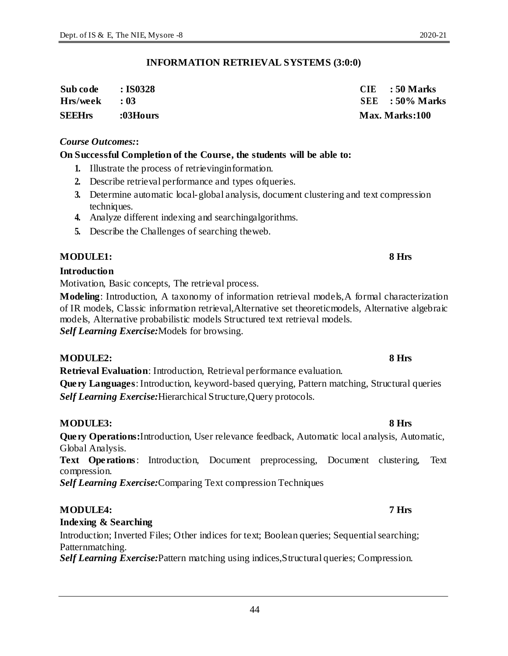#### **INFORMATION RETRIEVAL SYSTEMS (3:0:0)**

| <b>SEEHrs</b> | :03Hours         | Max. Marks:100    |
|---------------|------------------|-------------------|
| Hrs/week      | $\cdot$ 03       | $SEE$ : 50% Marks |
| Sub code      | $\approx$ IS0328 | $CIE$ : 50 Marks  |

#### *Course Outcomes:***:**

#### **On Successful Completion of the Course, the students will be able to:**

- **1.** Illustrate the process of retrievinginformation.
- **2.** Describe retrieval performance and types ofqueries.
- **3.** Determine automatic local-global analysis, document clustering and text compression techniques.
- **4.** Analyze different indexing and searchingalgorithms.
- **5.** Describe the Challenges of searching theweb.

#### **MODULE1: 8 Hrs**

#### **Introduction**

Motivation, Basic concepts, The retrieval process.

**Modeling**: Introduction, A taxonomy of information retrieval models,A formal characterization of IR models, Classic information retrieval,Alternative set theoreticmodels, Alternative algebraic models, Alternative probabilistic models Structured text retrieval models. *Self Learning Exercise:*Models for browsing.

#### **MODULE2: 8 Hrs**

**Retrieval Evaluation**: Introduction, Retrieval performance evaluation. **Query Languages**: Introduction, keyword-based querying, Pattern matching, Structural queries *Self Learning Exercise:*Hierarchical Structure,Query protocols.

#### **MODULE3: 8 Hrs**

**Query Operations:**Introduction, User relevance feedback, Automatic local analysis, Automatic, Global Analysis.

**Text Operations**: Introduction, Document preprocessing, Document clustering, Text compression.

*Self Learning Exercise:*Comparing Text compression Techniques

#### **MODULE4: 7 Hrs**

#### **Indexing & Searching**

Introduction; Inverted Files; Other indices for text; Boolean queries; Sequential searching; Patternmatching.

*Self Learning Exercise:*Pattern matching using indices,Structural queries; Compression.

#### 44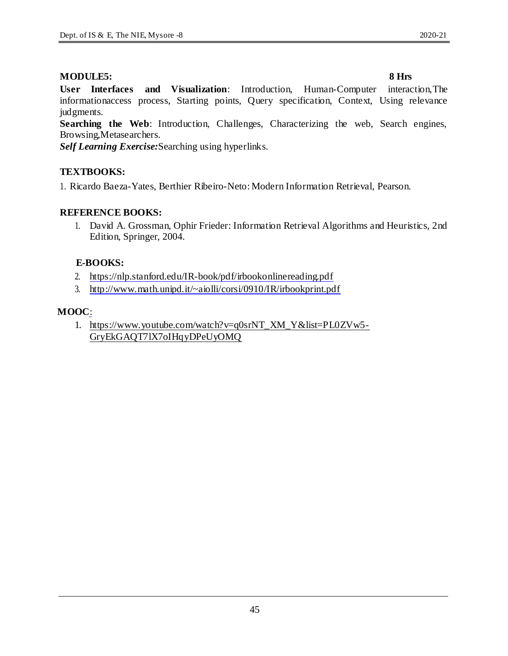#### **MODULE5: 8 Hrs**

**User Interfaces and Visualization**: Introduction, Human-Computer interaction,The informationaccess process, Starting points, Query specification, Context, Using relevance judgments.

**Searching the Web**: Introduction, Challenges, Characterizing the web, Search engines, Browsing,Metasearchers.

*Self Learning Exercise:*Searching using hyperlinks.

### **TEXTBOOKS:**

1. Ricardo Baeza-Yates, Berthier Ribeiro-Neto: Modern Information Retrieval, Pearson.

### **REFERENCE BOOKS:**

1. David A. Grossman, Ophir Frieder: Information Retrieval Algorithms and Heuristics, 2nd Edition, Springer, 2004.

### **E-BOOKS:**

- 2. https://nlp.stanford.edu/IR-book/pdf/irbookonlinereading.pdf
- 3. http://www.math.unipd.it/~aiolli/corsi/0910/IR/irbookprint.pdf

#### **MOOC**:

1. https://www.youtube.com/watch?v=q0srNT\_XM\_Y&list=PL0ZVw5- GryEkGAQT7lX7oIHqyDPeUyOMQ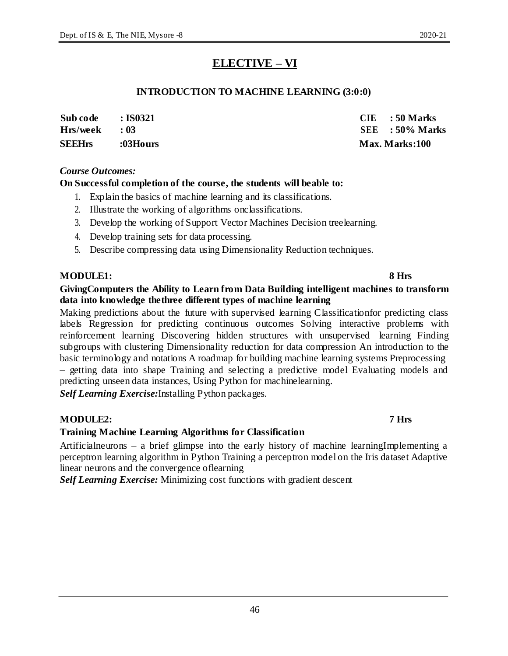# **ELECTIVE – VI**

### **INTRODUCTION TO MACHINE LEARNING (3:0:0)**

| <b>SEEHrs</b><br>:03Hours                            |                                       |
|------------------------------------------------------|---------------------------------------|
| Sub code<br>$\cdot$ IS0321<br>Hrs/week<br>$\cdot$ 03 | $CIE$ : 50 Marks<br>$SEE$ : 50% Marks |

#### *Course Outcomes:*

### **On Successful completion of the course, the students will beable to:**

- 1. Explain the basics of machine learning and its classifications.
- 2. Illustrate the working of algorithms onclassifications.
- 3. Develop the working of Support Vector Machines Decision treelearning.
- 4. Develop training sets for data processing.
- 5. Describe compressing data using Dimensionality Reduction techniques.

#### **MODULE1: 8 Hrs**

#### **GivingComputers the Ability to Learn from Data Building intelligent machines to transform data into knowledge thethree different types of machine learning**

Making predictions about the future with supervised learning Classificationfor predicting class labels Regression for predicting continuous outcomes Solving interactive problems with reinforcement learning Discovering hidden structures with unsupervised learning Finding subgroups with clustering Dimensionality reduction for data compression An introduction to the basic terminology and notations A roadmap for building machine learning systems Preprocessing – getting data into shape Training and selecting a predictive model Evaluating models and predicting unseen data instances, Using Python for machinelearning.

*Self Learning Exercise:*Installing Python packages.

### **MODULE2: 7 Hrs**

### **Training Machine Learning Algorithms for Classification**

Artificialneurons – a brief glimpse into the early history of machine learningImplementing a perceptron learning algorithm in Python Training a perceptron model on the Iris dataset Adaptive linear neurons and the convergence oflearning

*Self Learning Exercise:* Minimizing cost functions with gradient descent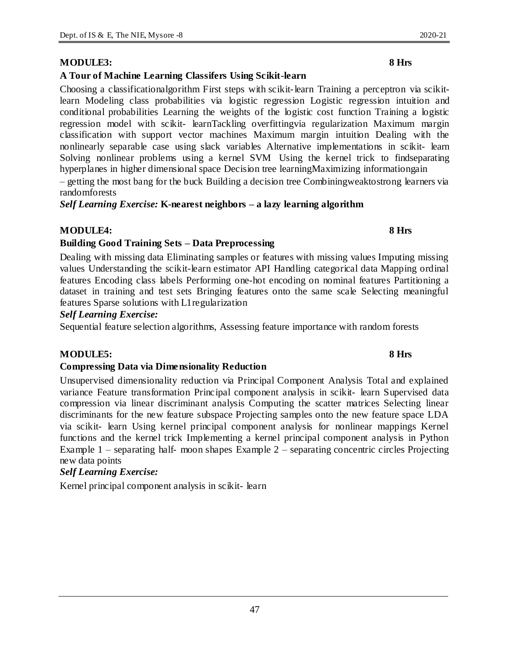#### **MODULE3: 8 Hrs**

#### **A Tour of Machine Learning Classifers Using Scikit-learn**

Choosing a classificationalgorithm First steps with scikit-learn Training a perceptron via scikitlearn Modeling class probabilities via logistic regression Logistic regression intuition and conditional probabilities Learning the weights of the logistic cost function Training a logistic regression model with scikit- learnTackling overfittingvia regularization Maximum margin classification with support vector machines Maximum margin intuition Dealing with the nonlinearly separable case using slack variables Alternative implementations in scikit- learn Solving nonlinear problems using a kernel SVM Using the kernel trick to findseparating hyperplanes in higher dimensional space Decision tree learningMaximizing informationgain

– getting the most bang for the buck Building a decision tree Combiningweaktostrong learners via randomforests

*Self Learning Exercise:* **K-nearest neighbors – a lazy learning algorithm**

#### **MODULE4: 8 Hrs**

#### **Building Good Training Sets – Data Preprocessing**

Dealing with missing data Eliminating samples or features with missing values Imputing missing values Understanding the scikit-learn estimator API Handling categorical data Mapping ordinal features Encoding class labels Performing one-hot encoding on nominal features Partitioning a dataset in training and test sets Bringing features onto the same scale Selecting meaningful features Sparse solutions with L1regularization

#### *Self Learning Exercise:*

Sequential feature selection algorithms, Assessing feature importance with random forests

### **MODULE5: 8 Hrs**

#### **Compressing Data via Dimensionality Reduction**

Unsupervised dimensionality reduction via Principal Component Analysis Total and explained variance Feature transformation Principal component analysis in scikit- learn Supervised data compression via linear discriminant analysis Computing the scatter matrices Selecting linear discriminants for the new feature subspace Projecting samples onto the new feature space LDA via scikit- learn Using kernel principal component analysis for nonlinear mappings Kernel functions and the kernel trick Implementing a kernel principal component analysis in Python Example 1 – separating half- moon shapes Example 2 – separating concentric circles Projecting new data points

### *Self Learning Exercise:*

Kernel principal component analysis in scikit- learn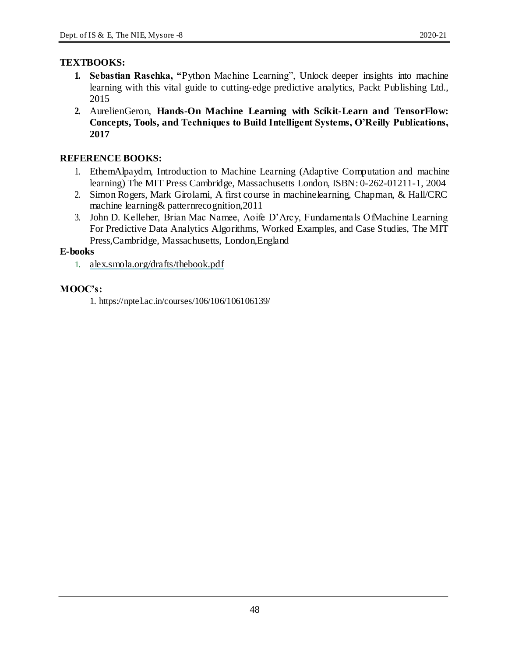### **TEXTBOOKS:**

- **1. Sebastian Raschka, "**Python Machine Learning", Unlock deeper insights into machine learning with this vital guide to cutting-edge predictive analytics, Packt Publishing Ltd., 2015
- **2.** AurelienGeron, **Hands-On Machine Learning with Scikit-Learn and TensorFlow: Concepts, Tools, and Techniques to Build Intelligent Systems, O'Reilly Publications, 2017**

### **REFERENCE BOOKS:**

- 1. EthemAlpaydm, Introduction to Machine Learning (Adaptive Computation and machine learning) The MIT Press Cambridge, Massachusetts London, ISBN: 0-262-01211-1, 2004
- 2. Simon Rogers, Mark Girolami, A first course in machinelearning, Chapman, & Hall/CRC machine learning& patternrecognition,2011
- 3. John D. Kelleher, Brian Mac Namee, Aoife D'Arcy, Fundamentals OfMachine Learning For Predictive Data Analytics Algorithms, Worked Examples, and Case Studies, The MIT Press,Cambridge, Massachusetts, London,England

#### **E-books**

1. alex.smola.org/drafts/thebook.pdf

### **MOOC's:**

1. https://nptel.ac.in/courses/106/106/106106139/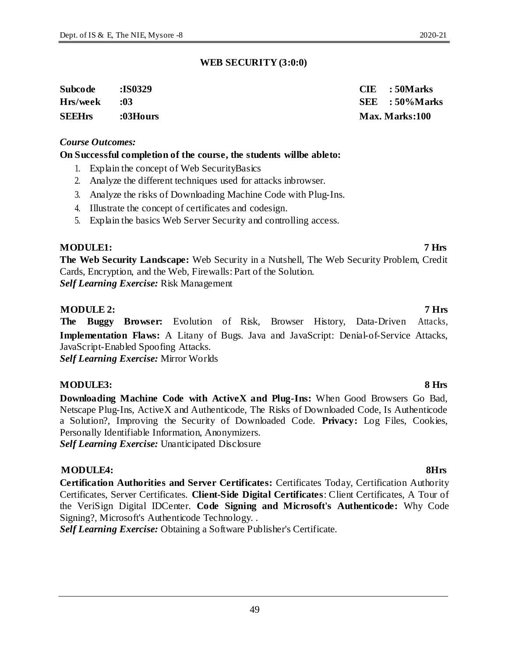### **WEB SECURITY (3:0:0)**

| Subcode       | :IS0329  | $CIE$ : 50 Marks  |
|---------------|----------|-------------------|
| Hrs/week      | :03      | $SEE$ : 50% Marks |
| <b>SEEHrs</b> | :03Hours | Max. Marks:100    |

### *Course Outcomes:*

### **On Successful completion of the course, the students willbe ableto:**

- 1. Explain the concept of Web SecurityBasics
- 2. Analyze the different techniques used for attacks inbrowser.
- 3. Analyze the risks of Downloading Machine Code with Plug-Ins.
- 4. Illustrate the concept of certificates and codesign.
- 5. Explain the basics Web Server Security and controlling access.

### **MODULE1: 7 Hrs**

**The Web Security Landscape:** Web Security in a Nutshell, The Web Security Problem, Credit Cards, Encryption, and the Web, Firewalls: Part of the Solution. *Self Learning Exercise:* Risk Management

### **MODULE 2: 7 Hrs**

**The Buggy Browser:** Evolution of Risk, Browser History, Data-Driven Attacks, **Implementation Flaws:** A Litany of Bugs. Java and JavaScript: Denial-of-Service Attacks, JavaScript-Enabled Spoofing Attacks.

*Self Learning Exercise:* Mirror Worlds

### **MODULE3: 8 Hrs**

**Downloading Machine Code with ActiveX and Plug-Ins:** When Good Browsers Go Bad, Netscape Plug-Ins, ActiveX and Authenticode, The Risks of Downloaded Code, Is Authenticode a Solution?, Improving the Security of Downloaded Code. **Privacy:** Log Files, Cookies, Personally Identifiable Information, Anonymizers.

*Self Learning Exercise:* Unanticipated Disclosure

### **MODULE4: 8Hrs**

**Certification Authorities and Server Certificates:** Certificates Today, Certification Authority Certificates, Server Certificates. **Client-Side Digital Certificates**: Client Certificates, A Tour of the VeriSign Digital IDCenter. **Code Signing and Microsoft's Authenticode:** Why Code Signing?, Microsoft's Authenticode Technology. .

*Self Learning Exercise:* Obtaining a Software Publisher's Certificate.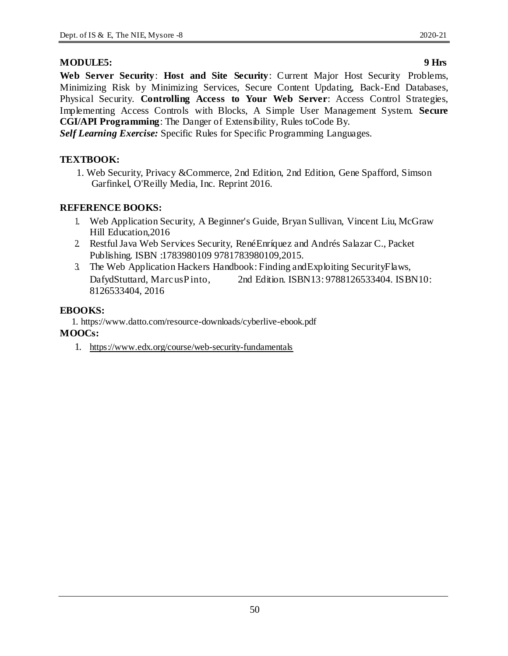### **MODULE5: 9 Hrs**

**Web Server Security**: **Host and Site Security**: Current Major Host Security Problems, Minimizing Risk by Minimizing Services, Secure Content Updating, Back-End Databases, Physical Security. **Controlling Access to Your Web Server**: Access Control Strategies, Implementing Access Controls with Blocks, A Simple User Management System. **Secure CGI/API Programming**: The Danger of Extensibility, Rules toCode By.

*Self Learning Exercise:* Specific Rules for Specific Programming Languages.

### **TEXTBOOK:**

1. Web Security, Privacy &Commerce, 2nd Edition, 2nd Edition, Gene Spafford, Simson Garfinkel, O'Reilly Media, Inc. Reprint 2016.

### **REFERENCE BOOKS:**

- 1. Web Application Security, A Beginner's Guide, Bryan Sullivan, Vincent Liu, McGraw Hill Education,2016
- 2. Restful Java Web Services Security, RenéEnríquez and Andrés Salazar C., Packet Publishing. ISBN :1783980109 9781783980109,2015.
- 3. The Web Application Hackers Handbook: Finding andExploiting SecurityFlaws, DafydStuttard, MarcusPinto, 2nd Edition. ISBN13:9788126533404. ISBN10: 8126533404, 2016

### **EBOOKS:**

1. https://www.datto.com/resource-downloads/cyberlive-ebook.pdf

### **MOOCs:**

1. https://www.edx.org/course/web-security-fundamentals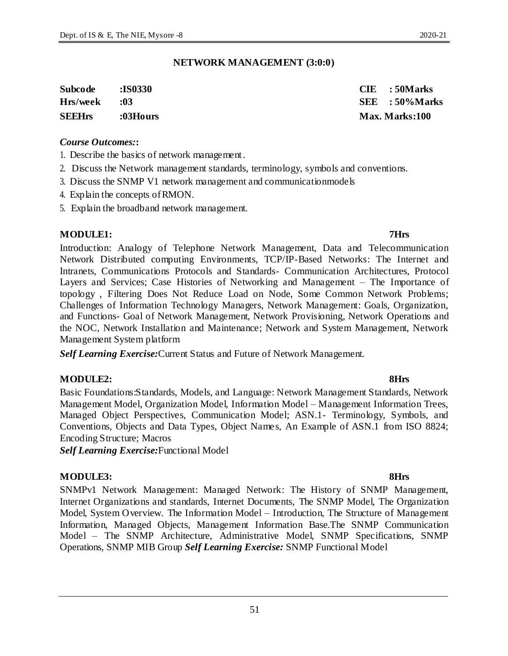51

### **NETWORK MANAGEMENT (3:0:0)**

| Subcode       | :IS0330  | $CIE$ : 50 Marks  |
|---------------|----------|-------------------|
| Hrs/week      | :03      | $SEE$ : 50% Marks |
| <b>SEEHrs</b> | :03Hours | Max. Marks:100    |

#### *Course Outcomes:***:**

- 1. Describe the basics of network management.
- 2. Discuss the Network management standards, terminology, symbols and conventions.
- 3. Discuss the SNMP V1 network management and communicationmodels
- 4. Explain the concepts ofRMON.
- 5. Explain the broadband network management.

#### **MODULE1: 7Hrs**

#### Introduction: Analogy of Telephone Network Management, Data and Telecommunication Network Distributed computing Environments, TCP/IP-Based Networks: The Internet and Intranets, Communications Protocols and Standards- Communication Architectures, Protocol Layers and Services; Case Histories of Networking and Management – The Importance of topology , Filtering Does Not Reduce Load on Node, Some Common Network Problems; Challenges of Information Technology Managers, Network Management: Goals, Organization, and Functions- Goal of Network Management, Network Provisioning, Network Operations and the NOC, Network Installation and Maintenance; Network and System Management, Network Management System platform

*Self Learning Exercise:*Current Status and Future of Network Management.

#### **MODULE2: 8Hrs**

Basic Foundations:Standards, Models, and Language: Network Management Standards, Network Management Model, Organization Model, Information Model – Management Information Trees, Managed Object Perspectives, Communication Model; ASN.1- Terminology, Symbols, and Conventions, Objects and Data Types, Object Names, An Example of ASN.1 from ISO 8824; Encoding Structure; Macros

*Self Learning Exercise:*Functional Model

#### **MODULE3: 8Hrs**

SNMPv1 Network Management: Managed Network: The History of SNMP Management, Internet Organizations and standards, Internet Documents, The SNMP Model, The Organization Model, System Overview. The Information Model – Introduction, The Structure of Management Information, Managed Objects, Management Information Base.The SNMP Communication Model – The SNMP Architecture, Administrative Model, SNMP Specifications, SNMP Operations, SNMP MIB Group *Self Learning Exercise:* SNMP Functional Model